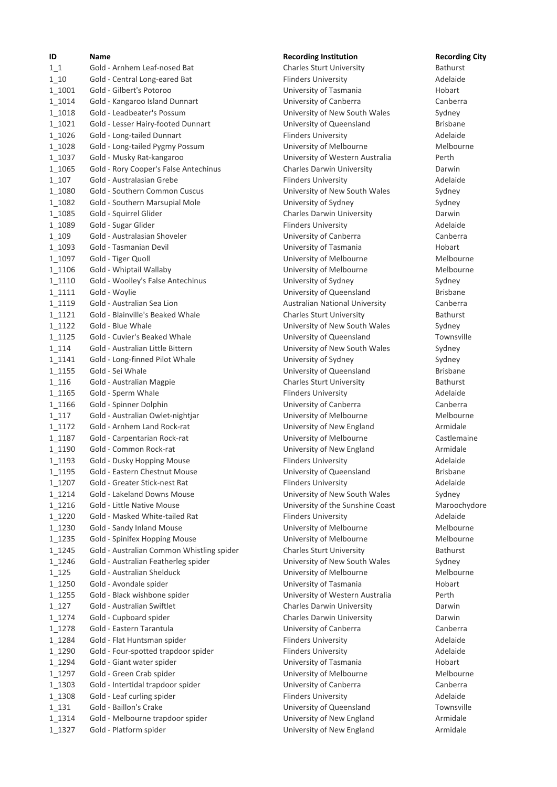| ID               | Name                                                        |
|------------------|-------------------------------------------------------------|
| $1\,1$           | Gold - Arnhem Leaf-nosed Bat                                |
| 1 10             | Gold - Central Long-eared Bat                               |
| 1 1001           | Gold - Gilbert's Potoroo                                    |
| 1 1014           | Gold - Kangaroo Island Dunnart                              |
| 1 1018           | Gold - Leadbeater's Possum                                  |
| 1 1021           | Gold - Lesser Hairy-footed Dunnart                          |
| 1 1026           | Gold - Long-tailed Dunnart                                  |
| 1 1028           | Gold - Long-tailed Pygmy Possum                             |
| 1 1037           | Gold - Musky Rat-kangaroo                                   |
| 1 1065           | Gold - Rory Cooper's False Antechinus                       |
| 1 107            | Gold - Australasian Grebe                                   |
| 1 1080           | Gold - Southern Common Cuscus                               |
| 1 1082           | Gold - Southern Marsupial Mole                              |
| 1 1085           | Gold - Squirrel Glider                                      |
| 1 1089           | Gold - Sugar Glider                                         |
| 1 109            | Gold - Australasian Shoveler                                |
| 1 1093           | Gold - Tasmanian Devil                                      |
| 1 1097           | Gold - Tiger Quoll                                          |
| 1 1106           | Gold - Whiptail Wallaby                                     |
| 1 1110           | Gold - Woolley's False Antechinus                           |
| 1 1111           | Gold - Woylie                                               |
| 1_1119           | Gold - Australian Sea Lion                                  |
| 1 1121           | Gold - Blainville's Beaked Whale                            |
| $1_1122$         | Gold - Blue Whale                                           |
| $1_1125$         | Gold - Cuvier's Beaked Whale                                |
| $1_114$          | Gold - Australian Little Bittern                            |
| 1 1141           | Gold - Long-finned Pilot Whale                              |
| 1 1155           | Gold - Sei Whale                                            |
| $1_116$          | Gold - Australian Magpie                                    |
| 1_1165           | Gold - Sperm Whale                                          |
| 1 1166           | Gold - Spinner Dolphin                                      |
| 1 117            | Gold - Australian Owlet-nightjar                            |
| 1_1172<br>1 1187 | Gold - Arnhem Land Rock-rat<br>Gold - Carpentarian Rock-rat |
| 1 1190           | Gold - Common Rock-rat                                      |
| 1 1193           | Gold - Dusky Hopping Mouse                                  |
| $1_1195$         | Gold - Eastern Chestnut Mouse                               |
| 1_1207           | Gold - Greater Stick-nest Rat                               |
| 1_1214           | Gold - Lakeland Downs Mouse                                 |
| 1_1216           | Gold - Little Native Mouse                                  |
| 1_1220           | Gold - Masked White-tailed Rat                              |
| 1_1230           | Gold - Sandy Inland Mouse                                   |
| 1_1235           | Gold - Spinifex Hopping Mouse                               |
| 1_1245           | Gold - Australian Common Whistling spid                     |
| 1_1246           | Gold - Australian Featherleg spider                         |
| $1_125$          | Gold - Australian Shelduck                                  |
| 1_1250           | Gold - Avondale spider                                      |
| 1_1255           | Gold - Black wishbone spider                                |
| $1_127$          | Gold - Australian Swiftlet                                  |
| 1_1274           | Gold - Cupboard spider                                      |
| 1_1278           | Gold - Eastern Tarantula                                    |
| 1_1284           | Gold - Flat Huntsman spider                                 |
| 1_1290           | Gold - Four-spotted trapdoor spider                         |
| 1_1294           | Gold - Giant water spider                                   |
| 1_1297           | Gold - Green Crab spider                                    |
| 1_1303           | Gold - Intertidal trapdoor spider                           |
| 1_1308           | Gold - Leaf curling spider                                  |
| $1_131$          | Gold - Baillon's Crake                                      |
| 1_1314           | Gold - Melbourne trapdoor spider                            |
| $1_1327$         | Gold - Platform spider                                      |

## **ID Recording Institution Recording City**

Charles Sturt University **Bathurst** Flinders University **Adelaide** University of Tasmania Hobart University of Canberra **Canberra** Canberra University of New South Wales Sydney University of Queensland **Brisbane** Flinders University **Adelaide** University of Melbourne Melbourne University of Western Australia Perth 1\_1065 Gold - Rory Cooper's False Antechinus Charles Darwin University Darwin Flinders University **Australia - Australia - Australia** University of New South Wales Sydney University of Sydney **Marsupial Mole University of Sydney** Charles Darwin University **Darwin** Darwin Flinders University **Adelaide** University of Canberra Canberra Canberra University of Tasmania **Bold Engine Bold Bold Hobart** University of Melbourne Melbourne University of Melbourne Melbourne University of Sydney Sydney University of Queensland Brisbane Australian National University Canberra 1\_1121 Gold - Blainville's Beaked Whale Charles Sturt University Bathurst University of New South Wales Sydney University of Queensland Townsville University of New South Wales Sydney University of Sydney Sydney University of Queensland **Brisbane** Charles Sturt University **Bathurst** Flinders University **Adelaide** University of Canberra **Canberra** Canberra University of Melbourne Melbourne Melbourne University of New England **Armidale** University of Melbourne **Castlemaine** University of New England **Armidale** Flinders University **Adelaide** University of Queensland Brisbane Flinders University **Adelaide** University of New South Wales Sydney University of the Sunshine Coast Maroochydore Flinders University **Adelaide** University of Melbourne Melbourne University of Melbourne Melbourne Melbourne er australian Charles Sturt University **Example 2014** Bathurst University of New South Wales Sydney University of Melbourne Melbourne University of Tasmania **Hobart** University of Western Australia Perth Charles Darwin University **Charles Darwin** Charles Darwin University **Darwin** Darwin University of Canberra Canberra Canberra Flinders University **Adelaide** 1.1290 Flinders University **Flinders University** Adelaide University of Tasmania **Hobart Water Spider Spider Spider Water** Hobart University of Melbourne Melbourne 1\_1303 Gold - Intertidal trapdoor spider University of Canberra Canberra Flinders University **Adelaide** University of Queensland Townsville University of New England **Armidale** University of New England **Armidale**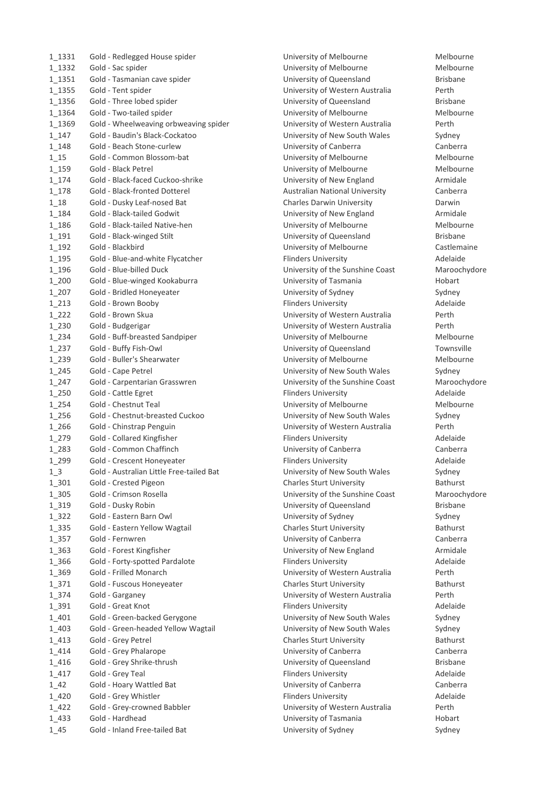| 1_1331             | Gold - Redlegged House spider                   |
|--------------------|-------------------------------------------------|
| 1_1332             | Gold - Sac spider                               |
| 1_1351             | Gold - Tasmanian cave spider                    |
| 1_1355             | Gold - Tent spider                              |
| 1_1356             | Gold - Three lobed spider                       |
| 1_1364             | Gold - Two-tailed spider                        |
| 1_1369             | Gold - Wheelweaving orbweaving spider           |
| $1_147$            | Gold - Baudin's Black-Cockatoo                  |
| $1_148$            | Gold - Beach Stone-curlew                       |
| $1_{15}$           | Gold - Common Blossom-bat                       |
| 1_159              | Gold - Black Petrel                             |
| $1_174$            | Gold - Black-faced Cuckoo-shrike                |
| $1_178$            | Gold - Black-fronted Dotterel                   |
| $1\_18$            | Gold - Dusky Leaf-nosed Bat                     |
| $1_184$            | Gold - Black-tailed Godwit                      |
| $1_186$            | Gold - Black-tailed Native-hen                  |
| $1_191$            | Gold - Black-winged Stilt                       |
| $1_192$            | Gold - Blackbird                                |
| $1_195$            | Gold - Blue-and-white Flycatcher                |
| $1_196$            | Gold - Blue-billed Duck                         |
| $1_{200}$          | Gold - Blue-winged Kookaburra                   |
| $1_{207}$          | Gold - Bridled Honeyeater                       |
| $1_{213}$          | Gold - Brown Booby                              |
| $1_{222}$          | Gold - Brown Skua                               |
| $1_{230}$          | Gold - Budgerigar                               |
| $1_{234}$          | Gold - Buff-breasted Sandpiper                  |
| $1_{237}$          | Gold - Buffy Fish-Owl                           |
| $1_239$            | Gold - Buller's Shearwater                      |
| $1_{245}$          | Gold - Cape Petrel                              |
| $1_{247}$          | Gold - Carpentarian Grasswren                   |
| $1_250$            | Gold - Cattle Egret                             |
| $1_{254}$          | Gold - Chestnut Teal                            |
| $1_{256}$          | Gold - Chestnut-breasted Cuckoo                 |
| $1 - 266$          | Gold - Chinstrap Penguin                        |
| $1_{279}$          | Gold - Collared Kingfisher                      |
| $1_{283}$          | Gold - Common Chaffinch                         |
| 1_299              | Gold - Crescent Honeyeater                      |
| $1_{-}3$           | Gold - Australian Little Free-tailed Bat        |
| $1_301$<br>$1_305$ | Gold - Crested Pigeon<br>Gold - Crimson Rosella |
| 1_319              | Gold - Dusky Robin                              |
| $1_322$            | Gold - Eastern Barn Owl                         |
| 1_335              | Gold - Eastern Yellow Wagtail                   |
| $1_357$            | Gold - Fernwren                                 |
| 1_363              | Gold - Forest Kingfisher                        |
| 1_366              | Gold - Forty-spotted Pardalote                  |
| 1_369              | Gold - Frilled Monarch                          |
| $1_371$            | Gold - Fuscous Honeyeater                       |
| $1_374$            | Gold - Garganey                                 |
| 1_391              | Gold - Great Knot                               |
| $1_401$            | Gold - Green-backed Gerygone                    |
| 1_403              | Gold - Green-headed Yellow Wagtail              |
| 1_413              | Gold - Grey Petrel                              |
| 1 4 1 4            | Gold - Grey Phalarope                           |
| 1_416              | Gold - Grey Shrike-thrush                       |
| 1 417              | Gold - Grey Teal                                |
| $1_{-}$ 42         | Gold - Hoary Wattled Bat                        |
| 1_420              | Gold - Grey Whistler                            |
| $1_422$            | Gold - Grey-crowned Babbler                     |
| 1_433              | Gold - Hardhead                                 |
| $1 - 45$           | Gold - Inland Free-tailed Bat                   |

University of Melbourne Melbourne University of Melbourne Melbourne University of Queensland **Brisbane** University of Western Australia Perth University of Queensland Brisbane University of Melbourne Melbourne University of Western Australia Perth University of New South Wales Sydney University of Canberra Canberra Canberra University of Melbourne Melbourne University of Melbourne Melbourne University of New England **Armidale** Australian National University **Canberra** 1\_18 Gold - Dusky Leaf-nosed Bat Charles Darwin University Darwin University of New England **Armidale** University of Melbourne Melbourne University of Queensland Brisbane University of Melbourne Castlemaine Flinders University **Adelaide** University of the Sunshine Coast Maroochydore University of Tasmania **Hobart** University of Sydney<br>
Sydney Flinders University **Adelaide** University of Western Australia Perth University of Western Australia Perth University of Melbourne Melbourne University of Queensland Townsville University of Melbourne Melbourne University of New South Wales Sydney University of the Sunshine Coast Maroochydore Flinders University **Adelaide** University of Melbourne Melbourne University of New South Wales Sydney University of Western Australia Perth Flinders University **Adelaide** University of Canberra **Canberra** Canberra Flinders University **Adelaide** University of New South Wales Sydney Charles Sturt University **Bathurst** University of the Sunshine Coast Maroochydore University of Queensland Brisbane University of Sydney Sydney 1\_335 Gold - Eastern Yellow Wagtail Charles Sturt University Bathurst University of Canberra **Canberra** Canberra University of New England **Armidale** Flinders University **Adelaide Adelaide** University of Western Australia Perth Charles Sturt University **Bathurst** Bathurst University of Western Australia Perth Flinders University **Adelaide** University of New South Wales Sydney University of New South Wales Sydney Charles Sturt University **Bathurst** University of Canberra **Canberra** Canberra University of Queensland Brisbane Flinders University **Adelaide** University of Canberra **Canberra** Canberra Flinders University **Adelaide** University of Western Australia Perth University of Tasmania Hobart University of Sydney Sydney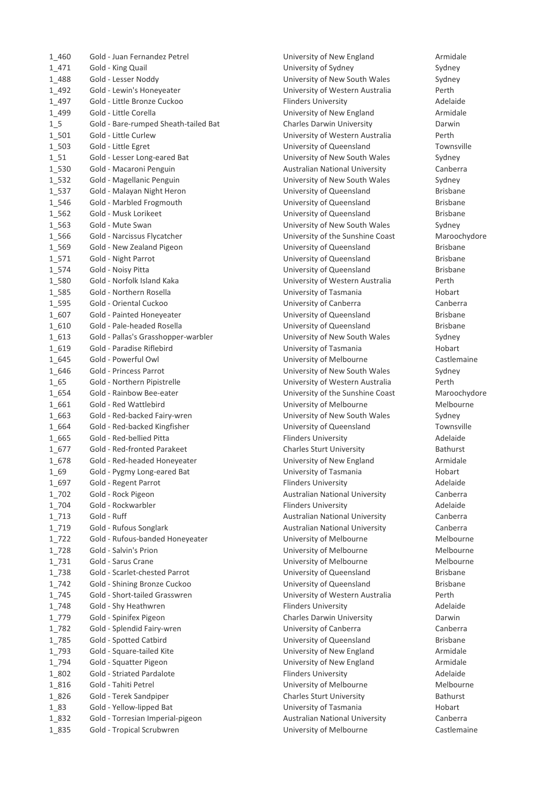| 1 460       | Gold - Juan Fernandez Petrel         |
|-------------|--------------------------------------|
| $1_471$     | Gold - King Quail                    |
| 1 488       | Gold - Lesser Noddy                  |
| 1 492       | Gold - Lewin's Honeyeater            |
| 1 497       | Gold - Little Bronze Cuckoo          |
| 1 499       | Gold - Little Corella                |
| 15          | Gold - Bare-rumped Sheath-tailed Bat |
| 1_501       | Gold - Little Curlew                 |
| 1_503       | Gold - Little Egret                  |
| $1_{.51}$   | Gold - Lesser Long-eared Bat         |
| 1_530       | Gold - Macaroni Penguin              |
| $1_{532}$   | Gold - Magellanic Penguin            |
| $1_{537}$   | Gold - Malayan Night Heron           |
| 1_546       | Gold - Marbled Frogmouth             |
| 1_562       | Gold - Musk Lorikeet                 |
| 1_563       | Gold - Mute Swan                     |
| 1_566       | Gold - Narcissus Flycatcher          |
| 1_569       | Gold - New Zealand Pigeon            |
| $1_{.}571$  | Gold - Night Parrot                  |
| 1_574       | Gold - Noisy Pitta                   |
|             |                                      |
| 1_580       | Gold - Norfolk Island Kaka           |
| 1_585       | Gold - Northern Rosella              |
| 1_595       | Gold - Oriental Cuckoo               |
| 1 607       | Gold - Painted Honeyeater            |
| 1 610       | Gold - Pale-headed Rosella           |
| 1 613       | Gold - Pallas's Grasshopper-warbler  |
| 1_619       | Gold - Paradise Riflebird            |
| 1 645       | Gold - Powerful Owl                  |
| 1 646       | Gold - Princess Parrot               |
| $1_65$      | Gold - Northern Pipistrelle          |
| 1 654       | Gold - Rainbow Bee-eater             |
| 1_661       | Gold - Red Wattlebird                |
| 1 663       | Gold - Red-backed Fairy-wren         |
| 1 664       | Gold - Red-backed Kingfisher         |
| 1 665       | Gold - Red-bellied Pitta             |
| 1 677       | Gold - Red-fronted Parakeet          |
| 1 678       | Gold - Red-headed Honeyeater         |
| $1\_69$     | Gold - Pygmy Long-eared Bat          |
| 1 697       | Gold - Regent Parrot                 |
| 1_702       | Gold - Rock Pigeon                   |
| $1_{-}704$  | Gold - Rockwarbler                   |
| $1_{1}$ 713 | Gold - Ruff                          |
| 1_719       | Gold - Rufous Songlark               |
| $1_{722}$   | Gold - Rufous-banded Honeyeater      |
| 1_728       | Gold - Salvin's Prion                |
| $1_731$     | Gold - Sarus Crane                   |
| 1_738       | Gold - Scarlet-chested Parrot        |
| $1_{742}$   | Gold - Shining Bronze Cuckoo         |
| $1_{-}745$  | Gold - Short-tailed Grasswren        |
| $1_{-748}$  | Gold - Shy Heathwren                 |
| 1_779       | Gold - Spinifex Pigeon               |
| 1_782       | Gold - Splendid Fairy-wren           |
| 1_785       | Gold - Spotted Catbird               |
| 1_793       | Gold - Square-tailed Kite            |
| 1_794       | Gold - Squatter Pigeon               |
| 1_802       | Gold - Striated Pardalote            |
|             |                                      |
| 1_816       | Gold - Tahiti Petrel                 |
| 1_826       | Gold - Terek Sandpiper               |
| $1_83$      | Gold - Yellow-lipped Bat             |
| 1_832       | Gold - Torresian Imperial-pigeon     |
| 1_835       | Gold - Tropical Scrubwren            |

University of New England **Armidale** University of Sydney Sydney University of New South Wales Sydney University of Western Australia Perth Flinders University **Adelaide** University of New England **Armidale** Charles Darwin University **Charles Darwin** University of Western Australia Perth University of Queensland Townsville University of New South Wales Sydney Australian National University Canberra University of New South Wales Sydney University of Queensland **Brisbane** University of Queensland Brisbane University of Queensland Brisbane University of New South Wales Sydney University of the Sunshine Coast Maroochydore University of Queensland **Brisbane** University of Queensland Brisbane University of Queensland **Brisbane** University of Western Australia Perth University of Tasmania Hobart University of Canberra Canberra Canberra University of Queensland Brisbane University of Queensland **Brisbane** University of New South Wales Sydney University of Tasmania **Hobart** University of Melbourne Castlemaine University of New South Wales Sydney University of Western Australia Perth University of the Sunshine Coast Maroochydore University of Melbourne Melbourne University of New South Wales Sydney University of Queensland Townsville Flinders University **Adelaide** 1\_677 Gold - Red-fronted Parakeet Charles Sturt University Bathurst University of New England **Armidale** University of Tasmania **Hobart** Hobart Flinders University **Adelaide** Australian National University Canberra Flinders University **Adelaide** Australian National University Canberra Australian National University Canberra University of Melbourne Melbourne University of Melbourne Melbourne University of Melbourne Melbourne University of Queensland **Brisbane** University of Queensland Brisbane University of Western Australia Perth Flinders University **Adelaide** Charles Darwin University **Darwin** University of Canberra Canberra Canberra University of Queensland Brisbane University of New England **Armidale** University of New England **Armidale** Flinders University **Adelaide** University of Melbourne Melbourne Charles Sturt University **Bathurst** University of Tasmania Hobart Bat University of Tasmania Hobart Hobart Australian National University **Canberra** University of Melbourne Castlemaine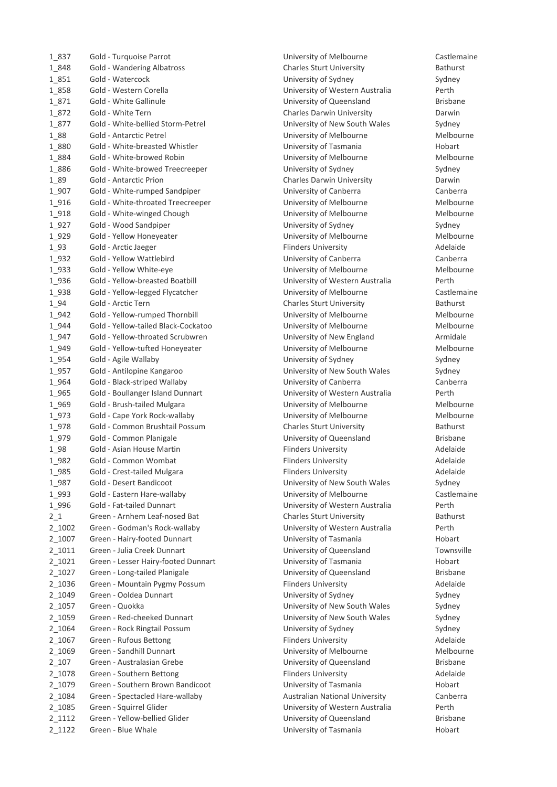| 1 837          | Gold - Turquoise Parrot                                      |
|----------------|--------------------------------------------------------------|
| 1 848          | <b>Gold - Wandering Albatross</b>                            |
| 1_851          | Gold - Watercock                                             |
| 1 858          | Gold - Western Corella                                       |
| 1 871          | Gold - White Gallinule                                       |
| 1 872          | Gold - White Tern                                            |
| 1877           | Gold - White-bellied Storm-Petrel                            |
| 1 88           | Gold - Antarctic Petrel                                      |
| 1 880          | Gold - White-breasted Whistler                               |
| 1884           | Gold - White-browed Robin                                    |
| 1 886          | Gold - White-browed Treecreeper                              |
| 1 89           | Gold - Antarctic Prion                                       |
| 1_907          | Gold - White-rumped Sandpiper                                |
| 1_916          | Gold - White-throated Treecreeper                            |
| 1_918          | Gold - White-winged Chough                                   |
| 1_927          | Gold - Wood Sandpiper                                        |
| 1_929          | Gold - Yellow Honeyeater                                     |
| $1_{93}$       | Gold - Arctic Jaeger                                         |
| 1_932          | Gold - Yellow Wattlebird                                     |
| 1_933          | Gold - Yellow White-eye                                      |
| 1_936          | Gold - Yellow-breasted Boatbill                              |
| 1_938          | Gold - Yellow-legged Flycatcher                              |
| $1_{94}$       | Gold - Arctic Tern                                           |
| 1_942          | Gold - Yellow-rumped Thornbill                               |
| 1_944          | Gold - Yellow-tailed Black-Cockatoo                          |
| 1_947          | Gold - Yellow-throated Scrubwren                             |
| 1_949          | Gold - Yellow-tufted Honeyeater                              |
| 1_954          | Gold - Agile Wallaby                                         |
| 1_957          | Gold - Antilopine Kangaroo                                   |
| 1_964          | Gold - Black-striped Wallaby                                 |
| 1_965          | Gold - Boullanger Island Dunnart                             |
| 1_969<br>1_973 | Gold - Brush-tailed Mulgara<br>Gold - Cape York Rock-wallaby |
| 1_978          | Gold - Common Brushtail Possum                               |
| 1_979          | Gold - Common Planigale                                      |
| $1_{98}$       | Gold - Asian House Martin                                    |
| 1_982          | Gold - Common Wombat                                         |
| 1 985          | Gold - Crest-tailed Mulgara                                  |
| 1 987          | Gold - Desert Bandicoot                                      |
| 1 993          | Gold - Eastern Hare-wallaby                                  |
| 1_996          | Gold - Fat-tailed Dunnart                                    |
| $2_{1}$        | Green - Arnhem Leaf-nosed Bat                                |
| 2_1002         | Green - Godman's Rock-wallaby                                |
| 2_1007         | Green - Hairy-footed Dunnart                                 |
| 2_1011         | Green - Julia Creek Dunnart                                  |
| 2_1021         | Green - Lesser Hairy-footed Dunnart                          |
| 2_1027         | Green - Long-tailed Planigale                                |
| 2_1036         | Green - Mountain Pygmy Possum                                |
| 2_1049         | Green - Ooldea Dunnart                                       |
| 2_1057         | Green - Quokka                                               |
| 2_1059         | Green - Red-cheeked Dunnart                                  |
| 2_1064         | Green - Rock Ringtail Possum                                 |
| 2_1067         | Green - Rufous Bettong                                       |
| 2_1069         | Green - Sandhill Dunnart                                     |
| $2 - 107$      | Green - Australasian Grebe                                   |
| 2_1078         | Green - Southern Bettong                                     |
| 2_1079         | Green - Southern Brown Bandicoot                             |
| 2_1084         | Green - Spectacled Hare-wallaby                              |
| 2_1085         | Green - Squirrel Glider                                      |
| 2_1112         | Green - Yellow-bellied Glider                                |
| 2_1122         | Green - Blue Whale                                           |

University of Melbourne **Castlemaine** 1\_848 Gold - Wandering Albatross Charles Sturt University Bathurst University of Sydney Sydney University of Western Australia Perth University of Queensland Brisbane Charles Darwin University **Charles Darwin** University of New South Wales Sydney University of Melbourne Melbourne University of Tasmania Hobart University of Melbourne Melbourne University of Sydney **Sydney** Sydney Charles Darwin University **Charles Darwin** University of Canberra **Canberra** Canberra University of Melbourne Melbourne University of Melbourne Melbourne University of Sydney Sydney University of Melbourne Melbourne Flinders University **Adelaide** University of Canberra Canberra Canberra University of Melbourne Melbourne University of Western Australia Perth University of Melbourne **Fluite Castlemaine** Charles Sturt University **Bathurst** University of Melbourne Melbourne University of Melbourne Melbourne University of New England **Armidale** University of Melbourne Melbourne University of Sydney Sydney University of New South Wales Sydney University of Canberra **Canberra** Canberra University of Western Australia Perth University of Melbourne Melbourne Melbourne University of Melbourne Melbourne Melbourne 1\_978 Gold - Common Brushtail Possum Charles Sturt University Bathurst University of Queensland Brisbane Flinders University **Adelaide** Flinders University **Adelaide** Flinders University **Adelaide** University of New South Wales Sydney University of Melbourne Castlemaine University of Western Australia Perth **2.1 Green Charles Sturt University Bathurst** University of Western Australia Perth 2\_1007 Green - Hairy-footed Dunnart University of Tasmania Hobart University of Queensland Townsville 2\_1021 Green - Lesser Hairy-footed Dunnart University of Tasmania Hobart University of Queensland Brisbane Flinders University **Adelaide** University of Sydney **Conney Sydney Sydney** University of New South Wales Sydney University of New South Wales Sydney University of Sydney **Example 2016** Sydney Flinders University **Adelaide** University of Melbourne Melbourne University of Queensland Brisbane Flinders University **Adelaide** 2\_1079 Green - Southern Brown Bandicoot University of Tasmania Hobart 2\_1084 Green - Spectacled Hare-wallaby Australian National University Canberra University of Western Australia Perth University of Queensland Brisbane University of Tasmania **Example 2012 Green Books**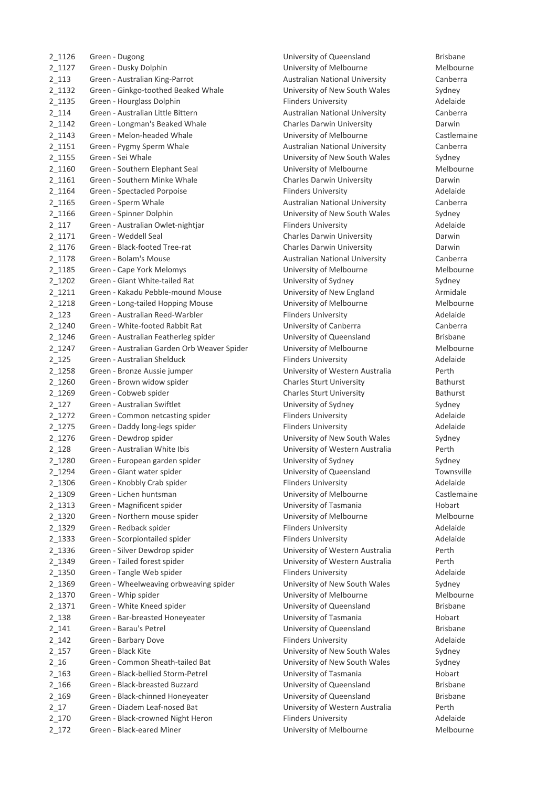| 2_1126     | Green - Dugong                                                            |
|------------|---------------------------------------------------------------------------|
| 2_1127     | Green - Dusky Dolphin                                                     |
| $2_113$    | Green - Australian King-Parrot                                            |
| 2_1132     | Green - Ginkgo-toothed Beaked Whale                                       |
| 2 1135     | Green - Hourglass Dolphin                                                 |
| 2 114      | Green - Australian Little Bittern                                         |
| $2_1142$   | Green - Longman's Beaked Whale                                            |
| $2 - 1143$ | Green - Melon-headed Whale                                                |
| $2 - 1151$ | Green - Pygmy Sperm Whale                                                 |
| 2_1155     | Green - Sei Whale                                                         |
| 2_1160     | Green - Southern Elephant Seal                                            |
| 2 1161     | Green - Southern Minke Whale                                              |
| 2_1164     | Green - Spectacled Porpoise                                               |
| 2_1165     | Green - Sperm Whale                                                       |
| 2_1166     | Green - Spinner Dolphin                                                   |
| $2 - 117$  | Green - Australian Owlet-nightjar                                         |
| $2_1171$   | Green - Weddell Seal                                                      |
| 2_1176     | Green - Black-footed Tree-rat                                             |
| 2_1178     | Green - Bolam's Mouse                                                     |
| 2 1185     | Green - Cape York Melomys                                                 |
| $2 - 1202$ | Green - Giant White-tailed Rat                                            |
| $2_{1211}$ | Green - Kakadu Pebble-mound Mouse                                         |
| 2 1218     | Green - Long-tailed Hopping Mouse                                         |
| $2 - 123$  | Green - Australian Reed-Warbler                                           |
| 2_1240     | Green - White-footed Rabbit Rat                                           |
| 2_1246     | Green - Australian Featherleg spider                                      |
| 2_1247     |                                                                           |
| $2 - 125$  | Green - Australian Garden Orb Weaver Spide<br>Green - Australian Shelduck |
| 2_1258     |                                                                           |
|            | Green - Bronze Aussie jumper                                              |
| 2_1260     | Green - Brown widow spider                                                |
| 2_1269     | Green - Cobweb spider                                                     |
| $2 - 127$  | Green - Australian Swiftlet                                               |
| $2_{1272}$ | Green - Common netcasting spider                                          |
| 2_1275     | Green - Daddy long-legs spider                                            |
| 2_1276     | Green - Dewdrop spider                                                    |
| 2 128      | Green - Australian White Ibis                                             |
| 2_1280     | Green - European garden spider                                            |
| 2_1294     | Green - Giant water spider                                                |
| 2_1306     | Green - Knobbly Crab spider                                               |
| 2_1309     | Green - Lichen huntsman                                                   |
| 2 1313     | Green - Magnificent spider                                                |
| 2_1320     | Green - Northern mouse spider                                             |
| 2_1329     | Green - Redback spider                                                    |
| 2_1333     | Green - Scorpiontailed spider                                             |
| 2_1336     | Green - Silver Dewdrop spider                                             |
| 2_1349     | Green - Tailed forest spider                                              |
| 2_1350     | Green - Tangle Web spider                                                 |
| 2_1369     | Green - Wheelweaving orbweaving spider                                    |
| 2_1370     | Green - Whip spider                                                       |
| 2_1371     | Green - White Kneed spider                                                |
| $2 - 138$  | Green - Bar-breasted Honeyeater                                           |
| $2 - 141$  | Green - Barau's Petrel                                                    |
| $2 - 142$  | Green - Barbary Dove                                                      |
| $2 - 157$  | Green - Black Kite                                                        |
| $2_16$     | Green - Common Sheath-tailed Bat                                          |
| $2 - 163$  | Green - Black-bellied Storm-Petrel                                        |
| $2 - 166$  | Green - Black-breasted Buzzard                                            |
| $2 - 169$  | Green - Black-chinned Honeyeater                                          |
| $2_17$     | Green - Diadem Leaf-nosed Bat                                             |
| $2 - 170$  | Green - Black-crowned Night Heron                                         |
| $2 - 172$  | Green - Black-eared Miner                                                 |
|            |                                                                           |

University of Queensland Brisbane University of Melbourne Melbourne 2\_113 Green - Australian King-Parrot Australian National University Canberra University of New South Wales Sydney Flinders University **Adelaide** Australian National University **Canberra** 2\_1142 Green - Longman's Beaked Whale Charles Darwin University Darwin University of Melbourne **Castlemaine** Australian National University Canberra University of New South Wales Sydney University of Melbourne Melbourne **2.1161 Charles Darwin University Charles Darwin** Flinders University **Adelaide** 2\_1165 Green - Sperm Whale Australian National University Canberra University of New South Wales Sydney Plinders University **Australian - Australian Chinace Adelaide** Charles Darwin University **Darwin** Darwin 2\_1176 Green - Black-footed Tree-rat Charles Darwin University Darwin Australian National University Canberra University of Melbourne Melbourne University of Sydney **Example 202 Green Sydney Sydney** University of New England **Armidale** University of Melbourne Melbourne Melbourne Plinders University **Australian Elizabeth Adelaide** University of Canberra **Canberra** Canberra University of Queensland Brisbane 21 Creen - Australian Christopher Christopher Christopher Spider Melbourne Flinders University **Adelaide** University of Western Australia Perth **2.1260 Charles Sturt University Arrow spider Sturt University Bathurst** Charles Sturt University **Bathurst** University of Sydney **Sydney Sydney** Sydney Plinders University **Adelaide 2.1275 Flinders University Spider - Paragonal Adelaider Spider Spider Spider Spider Spider Spider Spider Spider** University of New South Wales Sydney University of Western Australia Perth University of Sydney **European Sydney Sydney** University of Queensland Townsville Flinders University **Adelaide** University of Melbourne **Castlemaine** University of Tasmania **Hobart** Show Hobart University of Melbourne Melbourne Flinders University **Adelaide** Plinders University **Adelaide** University of Western Australia Perth University of Western Australia Perth Flinders University **Adelaide** University of New South Wales Sydney University of Melbourne Melbourne University of Queensland Brisbane University of Tasmania Hobart University of Queensland Brisbane Flinders University **Adelaide** University of New South Wales Sydney University of New South Wales Sydney University of Tasmania **Black-bellied Storm-**University of Queensland **Brisbane** University of Queensland **Brisbane** University of Western Australia Perth Flinders University **Adelaide** University of Melbourne Melbourne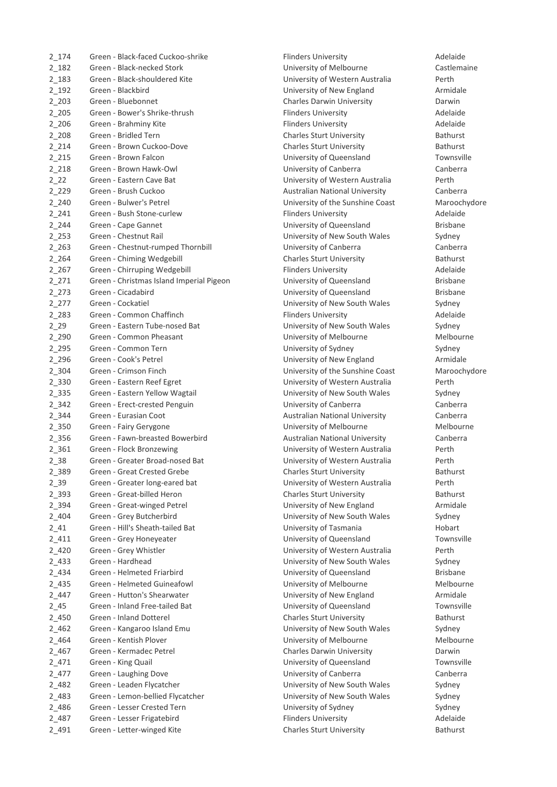| $2 - 174$ | Green - Black-faced Cuckoo-shrike        | <b>Flinders University</b>            | Adelaide        |
|-----------|------------------------------------------|---------------------------------------|-----------------|
| $2 - 182$ | Green - Black-necked Stork               | University of Melbourne               | Castlema        |
| $2 - 183$ | Green - Black-shouldered Kite            | University of Western Australia       | Perth           |
| $2 - 192$ | Green - Blackbird                        | University of New England             | Armidale        |
| $2 - 203$ | Green - Bluebonnet                       | Charles Darwin University             | Darwin          |
| $2 - 205$ | Green - Bower's Shrike-thrush            | <b>Flinders University</b>            | Adelaide        |
| $2 - 206$ | Green - Brahminy Kite                    | <b>Flinders University</b>            | Adelaide        |
| $2 - 208$ | Green - Bridled Tern                     | Charles Sturt University              | Bathurst        |
| $2_{214}$ | Green - Brown Cuckoo-Dove                | <b>Charles Sturt University</b>       | Bathurst        |
| $2_{215}$ | Green - Brown Falcon                     | University of Queensland              | Townsvil        |
| $2_{218}$ | Green - Brown Hawk-Owl                   | University of Canberra                | Canberra        |
| $2_{22}$  | Green - Eastern Cave Bat                 | University of Western Australia       | Perth           |
| $2 - 229$ | Green - Brush Cuckoo                     | <b>Australian National University</b> | Canberra        |
|           | Green - Bulwer's Petrel                  | University of the Sunshine Coast      | Marooch         |
| $2 - 240$ | Green - Bush Stone-curlew                |                                       |                 |
| $2_{241}$ |                                          | <b>Flinders University</b>            | Adelaide        |
| $2 - 244$ | Green - Cape Gannet                      | University of Queensland              | <b>Brisbane</b> |
| $2 - 253$ | Green - Chestnut Rail                    | University of New South Wales         | Sydney          |
| $2 - 263$ | Green - Chestnut-rumped Thornbill        | University of Canberra                | Canberra        |
| 2 2 6 4   | Green - Chiming Wedgebill                | <b>Charles Sturt University</b>       | Bathurst        |
| $2 - 267$ | Green - Chirruping Wedgebill             | <b>Flinders University</b>            | Adelaide        |
| $2_{271}$ | Green - Christmas Island Imperial Pigeon | University of Queensland              | <b>Brisbane</b> |
| $2 - 273$ | Green - Cicadabird                       | University of Queensland              | <b>Brisbane</b> |
| $2_{27}$  | Green - Cockatiel                        | University of New South Wales         | Sydney          |
| $2_{283}$ | Green - Common Chaffinch                 | <b>Flinders University</b>            | Adelaide        |
| $2 - 29$  | Green - Eastern Tube-nosed Bat           | University of New South Wales         | Sydney          |
| $2 - 290$ | Green - Common Pheasant                  | University of Melbourne               | Melbour         |
| $2 - 295$ | Green - Common Tern                      | University of Sydney                  | Sydney          |
| $2 - 296$ | Green - Cook's Petrel                    | University of New England             | Armidale        |
| 2_304     | Green - Crimson Finch                    | University of the Sunshine Coast      | Marooch         |
| $2 - 330$ | Green - Eastern Reef Egret               | University of Western Australia       | Perth           |
| 2_335     | Green - Eastern Yellow Wagtail           | University of New South Wales         | Sydney          |
| $2 - 342$ | Green - Erect-crested Penguin            | University of Canberra                | Canberra        |
| $2 - 344$ | Green - Eurasian Coot                    | <b>Australian National University</b> | Canberra        |
| 2_350     | Green - Fairy Gerygone                   | University of Melbourne               | Melbour         |
| 2_356     | Green - Fawn-breasted Bowerbird          | <b>Australian National University</b> | Canberra        |
| 2 3 6 1   | Green - Flock Bronzewing                 | University of Western Australia       | Perth           |
| $2 - 38$  | Green - Greater Broad-nosed Bat          | University of Western Australia       | Perth           |
|           | Green - Great Crested Grebe              | <b>Charles Sturt University</b>       | <b>Bathurst</b> |
| 2_389     | Green - Greater long-eared bat           |                                       |                 |
| $2 - 39$  |                                          | University of Western Australia       | Perth           |
| $2 - 393$ | Green - Great-billed Heron               | <b>Charles Sturt University</b>       | <b>Bathurst</b> |
| $2 - 394$ | Green - Great-winged Petrel              | University of New England             | Armidale        |
| $2 - 404$ | Green - Grey Butcherbird                 | University of New South Wales         | Sydney          |
| $2_{-}41$ | Green - Hill's Sheath-tailed Bat         | University of Tasmania                | Hobart          |
| $2_411$   | Green - Grey Honeyeater                  | University of Queensland              | Townsvil        |
| $2 - 420$ | Green - Grey Whistler                    | University of Western Australia       | Perth           |
| $2 - 433$ | Green - Hardhead                         | University of New South Wales         | Sydney          |
| $2 - 434$ | Green - Helmeted Friarbird               | University of Queensland              | <b>Brisbane</b> |
| $2 - 435$ | <b>Green - Helmeted Guineafowl</b>       | University of Melbourne               | Melbour         |
| $2 - 447$ | Green - Hutton's Shearwater              | University of New England             | Armidale        |
| $2 - 45$  | Green - Inland Free-tailed Bat           | University of Queensland              | Townsvil        |
| $2 - 450$ | Green - Inland Dotterel                  | <b>Charles Sturt University</b>       | Bathurst        |
| $2 - 462$ | Green - Kangaroo Island Emu              | University of New South Wales         | Sydney          |
| $2 - 464$ | Green - Kentish Plover                   | University of Melbourne               | Melbour         |
| $2 - 467$ | Green - Kermadec Petrel                  | Charles Darwin University             | Darwin          |
| $2_471$   | Green - King Quail                       | University of Queensland              | Townsvil        |
| $2_477$   | Green - Laughing Dove                    | University of Canberra                | Canberra        |
| $2 - 482$ | Green - Leaden Flycatcher                | University of New South Wales         | Sydney          |
| $2 - 483$ | Green - Lemon-bellied Flycatcher         | University of New South Wales         | Sydney          |
| $2 - 486$ | Green - Lesser Crested Tern              | University of Sydney                  | Sydney          |
|           |                                          | <b>Flinders University</b>            | Adelaide        |
| $2 - 487$ | Green - Lesser Frigatebird               |                                       |                 |
| 2 4 9 1   | Green - Letter-winged Kite               | <b>Charles Sturt University</b>       | <b>Bathurst</b> |

University of Melbourne **Castlemaine** University of Western Australia Perth University of New England **Armidale** Charles Darwin University **Charles Darwin** Plinders University **Adelaide** Flinders University **Adelaide** Charles Sturt University **Bathurst** Charles Sturt University **Bathurst** University of Queensland Townsville University of Canberra **Canberra** Canberra University of Western Australia Perth Australian National University Canberra University of the Sunshine Coast Maroochydore Flinders University **Adelaide** University of Queensland Brisbane University of New South Wales Sydney University of Canberra **Canberra** Canberra **2.264 Charles Sturt University Bathurst** Flinders University **Adelaide** 2022 Brisbane - Christmas Island Imperial Pigeon - Christmas Indiana Brisbane University of Queensland Brisbane University of New South Wales Sydney Flinders University **Adelaide** University of New South Wales Sydney University of Melbourne Melbourne University of Sydney **Example 2018** Sydney University of New England Armidale University of the Sunshine Coast Maroochydore University of Western Australia Perth University of New South Wales Sydney University of Canberra **Canberra** Canberra 2\_344 Green - Eurasian Coot Australian National University Canberra University of Melbourne Melbourne Australian National University **Canberra** University of Western Australia Perth University of Western Australia Perth Charles Sturt University **Bathurst** University of Western Australia Perth 2\_393 Green - Great-billed Heron Charles Sturt University Bathurst University of New England **Armidale** University of New South Wales Sydney University of Tasmania **Bat Library Sheath-tailed Bat University of Tasmania** Hobart University of Queensland Townsville University of Western Australia Perth University of New South Wales Sydney University of Queensland Brisbane University of Melbourne Melbourne University of New England **Armidale** University of Queensland Townsville Charles Sturt University **Bathurst** University of New South Wales Sydney University of Melbourne Melbourne Charles Darwin University **Charles Darwin** University of Queensland Townsville University of Canberra **Canberra** Canberra University of New South Wales Sydney University of New South Wales Sydney University of Sydney **Example 2018** Sydney Flinders University **Adelaide** 2\_491 Green - Letter-winged Kite Charles Sturt University Bathurst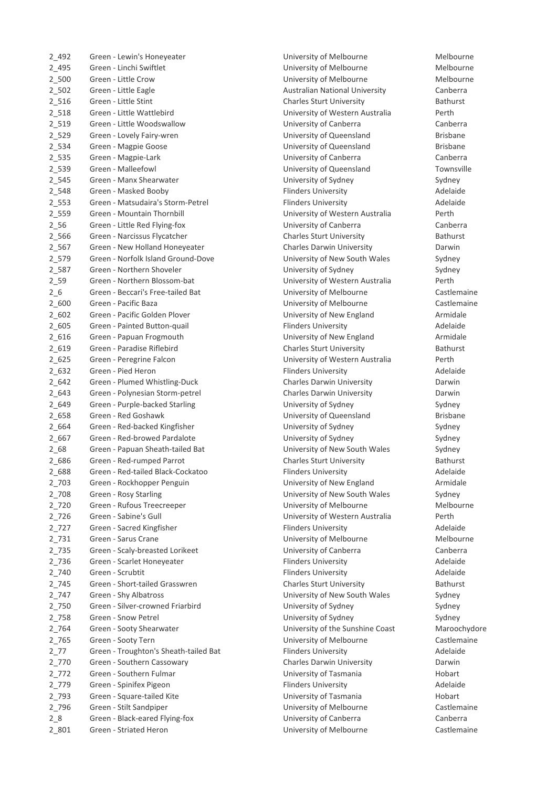| 2 492      | Green - Lewin's Honeyeater            |
|------------|---------------------------------------|
| 2_495      | Green - Linchi Swiftlet               |
| $2 - 500$  | Green - Little Crow                   |
| $2 - 502$  | Green - Little Eagle                  |
| $2_{1516}$ | Green - Little Stint                  |
| 2_518      | Green - Little Wattlebird             |
| 2_519      | Green - Little Woodswallow            |
| 2_529      | Green - Lovely Fairy-wren             |
| 2_534      | Green - Magpie Goose                  |
| 2 535      | Green - Magpie-Lark                   |
| 2_539      | Green - Malleefowl                    |
| 2_545      | Green - Manx Shearwater               |
| 2_548      | Green - Masked Booby                  |
| $2 - 553$  | Green - Matsudaira's Storm-Petrel     |
| 2_559      | Green - Mountain Thornbill            |
| $2 - 56$   | Green - Little Red Flying-fox         |
| 2_566      | Green - Narcissus Flycatcher          |
| $2 - 567$  | Green - New Holland Honeyeater        |
| 2_579      | Green - Norfolk Island Ground-Dove    |
| 2_587      | Green - Northern Shoveler             |
| $2 - 59$   | Green - Northern Blossom-bat          |
| $2\_6$     | Green - Beccari's Free-tailed Bat     |
|            | Green - Pacific Baza                  |
| $2_{600}$  | Green - Pacific Golden Plover         |
| $2 - 602$  |                                       |
| $2 - 605$  | Green - Painted Button-quail          |
| $2_{616}$  | Green - Papuan Frogmouth              |
| $2 - 619$  | Green - Paradise Riflebird            |
| $2 - 625$  | Green - Peregrine Falcon              |
| 2 632      | Green - Pied Heron                    |
| 2 642      | Green - Plumed Whistling-Duck         |
| 2 643      | Green - Polynesian Storm-petrel       |
| 2_649      | Green - Purple-backed Starling        |
| 2_658      | Green - Red Goshawk                   |
| 2_664      | Green - Red-backed Kingfisher         |
| 2 667      | Green - Red-browed Pardalote          |
| $2 - 68$   | Green - Papuan Sheath-tailed Bat      |
| 2_686      | Green - Red-rumped Parrot             |
| 2 688      | Green - Red-tailed Black-Cockatoo     |
| 2_703      | Green - Rockhopper Penguin            |
| 2_708      | Green - Rosy Starling                 |
| 2_720      | Green - Rufous Treecreeper            |
| 2_726      | Green - Sabine's Gull                 |
| $2_{72}$   | Green - Sacred Kingfisher             |
| 2 731      | Green - Sarus Crane                   |
| 2 735      | Green - Scaly-breasted Lorikeet       |
| 2 736      | Green - Scarlet Honeyeater            |
| 2_740      | Green - Scrubtit                      |
| 2_745      | Green - Short-tailed Grasswren        |
| 2_747      | Green - Shy Albatross                 |
| 2_750      | Green - Silver-crowned Friarbird      |
| 2_758      | Green - Snow Petrel                   |
| 2_764      | Green - Sooty Shearwater              |
| 2_765      | Green - Sooty Tern                    |
| $2 - 77$   | Green - Troughton's Sheath-tailed Bat |
| 2_770      | Green - Southern Cassowary            |
| $2_{772}$  | Green - Southern Fulmar               |
| 2_779      | Green - Spinifex Pigeon               |
| 2_793      | Green - Square-tailed Kite            |
| 2_796      | Green - Stilt Sandpiper               |
| 28         | Green - Black-eared Flying-fox        |
| 2_801      | Green - Striated Heron                |

University of Melbourne Melbourne University of Melbourne Melbourne University of Melbourne **Melbourne** Melbourne Australian National University Canberra Charles Sturt University **Bathurst** University of Western Australia Perth University of Canberra **Canberra** Canberra University of Queensland Brisbane University of Queensland Brisbane University of Canberra **Canberra** Canberra University of Queensland Townsville University of Sydney **Sydney** Sydney Flinders University **Adelaide** Plinders University **Adelaide** University of Western Australia Perth University of Canberra **Canberra** Canberra 2.566 Charles Sturt University Flycatcher Charles Sturt University 2\_567 Green - New Holland Honeyeater Charles Darwin University Darwin University of New South Wales Sydney University of Sydney **Sydney Sydney** Sydney University of Western Australia Perth University of Melbourne **Castlemaine** University of Melbourne **Castlemaine** University of New England **Armidale** Plinders University **Adelaide** University of New England **Armidale** 2\_619 Green - Paradise Riflebird Charles Sturt University Bathurst University of Western Australia Perth Flinders University **Adelaide** Charles Darwin University **Darwin** Darwin Charles Darwin University **Darwin** Darwin University of Sydney **Example 2018** Sydney University of Queensland Brisbane University of Sydney **Example 2018** Sydney University of Sydney **Card Coren Contact Contact Sydney** Sydney University of New South Wales Sydney 2\_686 Green - Red-rumped Parrot Charles Sturt University Bathurst Flinders University **Adelaide** University of New England **Armidale** University of New South Wales Sydney University of Melbourne Melbourne University of Western Australia Perth Flinders University **Adelaide** University of Melbourne Melbourne 2\_735 Green - Scaly-breasted Lorikeet University of Canberra Canberra Flinders University **Adelaide** Flinders University **Adelaide 2.745 Charles Sturt University Arrow Bathurst** University of New South Wales Sydney University of Sydney **Ericare Ericrowned Sydney** Sydney University of Sydney **Example 2018** Sydney University of the Sunshine Coast Maroochydore University of Melbourne **Castlemaine** 2.72 Flinders University **Bat Troughton's Sheathertailed Bat Flinders** Adelaide 2\_770 Green - Southern Cassowary Charles Darwin University Darwin University of Tasmania Hobart Plinders University **Adelaide** University of Tasmania and American Hobart University of Melbourne **Castlemaine** University of Canberra **Canberra** Canberra University of Melbourne **Castlemaine**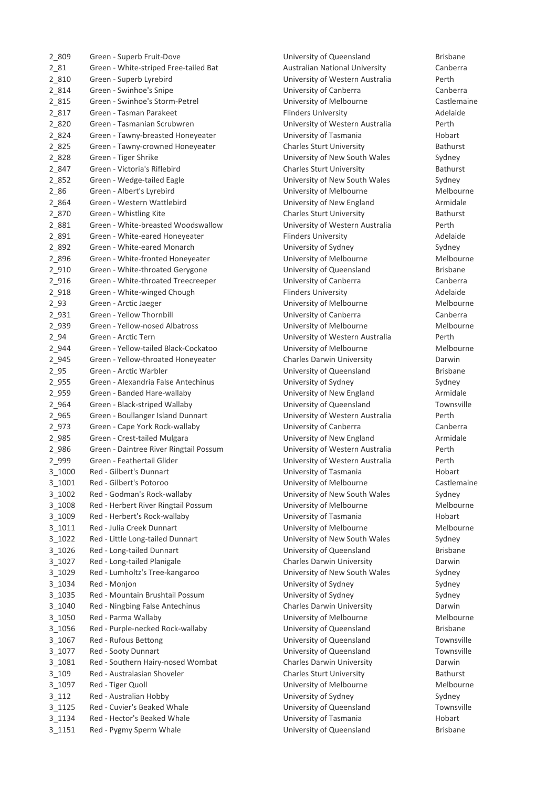| 2_809     | Green - Superb Fruit-Dove              |
|-----------|----------------------------------------|
| $2_{81}$  | Green - White-striped Free-tailed Bat  |
| $2_{810}$ | Green - Superb Lyrebird                |
| 2_814     | Green - Swinhoe's Snipe                |
| 2_815     | Green - Swinhoe's Storm-Petrel         |
| 2_817     | Green - Tasman Parakeet                |
| 2 820     | Green - Tasmanian Scrubwren            |
| 2 824     | Green - Tawny-breasted Honeyeater      |
| 2_825     | Green - Tawny-crowned Honeyeater       |
| 2 828     | Green - Tiger Shrike                   |
| 2 847     | Green - Victoria's Riflebird           |
| 2 8 5 2   | Green - Wedge-tailed Eagle             |
| $2_{86}$  | Green - Albert's Lyrebird              |
| 2 864     | Green - Western Wattlebird             |
|           | Green - Whistling Kite                 |
| 2 870     |                                        |
| 2 881     | Green - White-breasted Woodswallow     |
| 2 891     | Green - White-eared Honeyeater         |
| 2 892     | Green - White-eared Monarch            |
| 2 8 9 6   | Green - White-fronted Honeyeater       |
| $2_{910}$ | Green - White-throated Gerygone        |
| $2_{916}$ | Green - White-throated Treecreeper     |
| 2_918     | Green - White-winged Chough            |
| $2_{93}$  | Green - Arctic Jaeger                  |
| 2_931     | Green - Yellow Thornbill               |
| 2_939     | Green - Yellow-nosed Albatross         |
| $2_{94}$  | Green - Arctic Tern                    |
| 2_944     | Green - Yellow-tailed Black-Cockatoo   |
| 2_945     | Green - Yellow-throated Honeyeater     |
| $2_{95}$  | Green - Arctic Warbler                 |
| 2_955     | Green - Alexandria False Antechinus    |
| 2_959     | Green - Banded Hare-wallaby            |
| 2_964     | Green - Black-striped Wallaby          |
| 2_965     | Green - Boullanger Island Dunnart      |
| 2_973     | Green - Cape York Rock-wallaby         |
| 2_985     | Green - Crest-tailed Mulgara           |
| 2_986     | Green - Daintree River Ringtail Possum |
| 2_999     | Green - Feathertail Glider             |
| 3_1000    | Red - Gilbert's Dunnart                |
| 3_1001    | Red - Gilbert's Potoroo                |
| 3_1002    | Red - Godman's Rock-wallaby            |
| 3_1008    | Red - Herbert River Ringtail Possum    |
| 3_1009    | Red - Herbert's Rock-wallaby           |
| 3_1011    | Red - Julia Creek Dunnart              |
| 3_1022    | Red - Little Long-tailed Dunnart       |
| 3_1026    | Red - Long-tailed Dunnart              |
| 3_1027    | Red - Long-tailed Planigale            |
| 3_1029    | Red - Lumholtz's Tree-kangaroo         |
| 3_1034    | Red - Monjon                           |
| 3_1035    | Red - Mountain Brushtail Possum        |
| 3_1040    | Red - Ningbing False Antechinus        |
| 3_1050    | Red - Parma Wallaby                    |
| 3_1056    | Red - Purple-necked Rock-wallaby       |
| 3_1067    |                                        |
|           | Red - Rufous Bettong                   |
| 3_1077    | Red - Sooty Dunnart                    |
| 3_1081    | Red - Southern Hairy-nosed Wombat      |
| $3 - 109$ | Red - Australasian Shoveler            |
| 3_1097    | Red - Tiger Quoll                      |
| $3_112$   | Red - Australian Hobby                 |
| 3_1125    | Red - Cuvier's Beaked Whale            |
| 3_1134    | Red - Hector's Beaked Whale            |
| 3_1151    | Red - Pygmy Sperm Whale                |

University of Queensland Brisbane Australian National University **Frankling** Canberra University of Western Australia Perth University of Canberra **Canberra** Canberra University of Melbourne **Castlemaine** Flinders University **Adelaide** University of Western Australia Perth University of Tasmania **Hobart 2.825 Charles Sturt University Charles Sturt University** Bathurst University of New South Wales Sydney 2.847 Charles Sturt University **Bathurst** University of New South Wales Sydney University of Melbourne Melbourne University of New England **Armidale** Charles Sturt University **Bathurst** Bathurst University of Western Australia Perth Flinders University **Adelaide** University of Sydney **Sydney Sydney** Sydney University of Melbourne Melbourne University of Queensland Brisbane University of Canberra **Canberra** Canberra Flinders University **Adelaide** University of Melbourne Melbourne University of Canberra **Canberra** Canberra University of Melbourne Melbourne University of Western Australia Perth University of Melbourne Melbourne **2.945 Charles Darwin University Charles Darwin University Darwin Darwin Darwin Charles Darwin Darwin Darwin D** University of Queensland Brisbane University of Sydney **Anticardria False Anticare Antechnic Sydney** Sydney University of New England Armidale University of Queensland Townsville University of Western Australia Perth University of Canberra **Canberra** Canberra University of New England Armidale University of Western Australia Perth University of Western Australia Perth University of Tasmania Hobart University of Melbourne **Castlemaine** University of New South Wales Sydney University of Melbourne Melbourne University of Tasmania Hobart University of Melbourne Melbourne University of New South Wales Sydney University of Queensland Brisbane Charles Darwin University **Charles Darwin** University of New South Wales Sydney University of Sydney Sydney University of Sydney **Brushtail Postum Brushtail Postum Brushtail Postum Brushtail Postum Brushtail Postum Bru** Charles Darwin University **Earnerships Charles Antechine Antechnic** University of Melbourne Melbourne University of Queensland Brisbane University of Queensland Townsville University of Queensland Townsville Charles Darwin University **Darwin** Charles Sturt University **Bathurst** Bathurst University of Melbourne Melbourne University of Sydney Sydney University of Queensland Townsville University of Tasmania Hobart University of Queensland **Brisbane**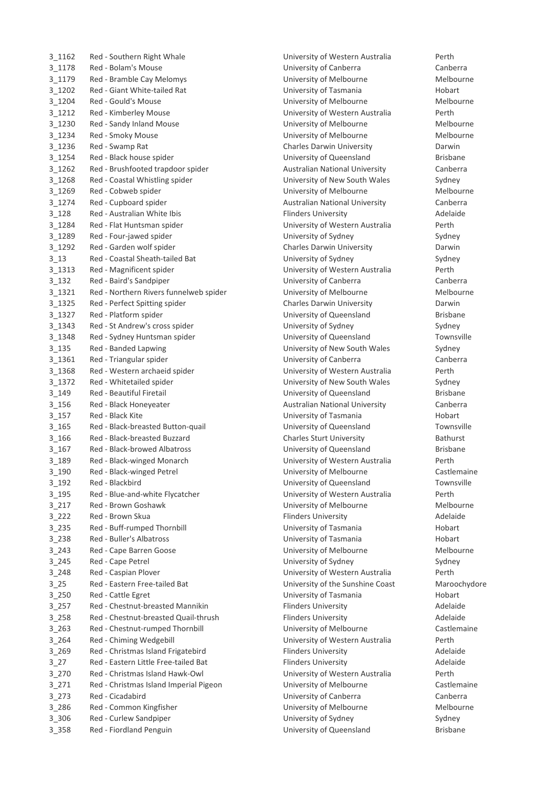| 3 1162     | Red - Southern Right Whale             | University of Western Australia       | Perth         |
|------------|----------------------------------------|---------------------------------------|---------------|
| 3 1178     | Red - Bolam's Mouse                    | University of Canberra                | Canb          |
| 3_1179     | Red - Bramble Cay Melomys              | University of Melbourne               | Melb          |
| $3_{1202}$ | Red - Giant White-tailed Rat           | University of Tasmania                | Hoba          |
| 3_1204     | Red - Gould's Mouse                    | University of Melbourne               | Melb          |
| $3_{1212}$ | Red - Kimberley Mouse                  | University of Western Australia       | Perth         |
| 3_1230     | Red - Sandy Inland Mouse               | University of Melbourne               | Melb          |
| 3_1234     | Red - Smoky Mouse                      | University of Melbourne               | Melb          |
| 3_1236     | Red - Swamp Rat                        | Charles Darwin University             | Darw          |
| 3_1254     | Red - Black house spider               | University of Queensland              | <b>Brisba</b> |
| 3 1262     | Red - Brushfooted trapdoor spider      | <b>Australian National University</b> | Canb          |
| 3 1268     | Red - Coastal Whistling spider         | University of New South Wales         | Sydne         |
| 3 1269     | Red - Cobweb spider                    | University of Melbourne               | Melb          |
| 3 1274     | Red - Cupboard spider                  | <b>Australian National University</b> | Canb          |
| $3$ 128    | Red - Australian White Ibis            | <b>Flinders University</b>            | Adela         |
| 3 1284     | Red - Flat Huntsman spider             | University of Western Australia       | Perth         |
| 3 1289     | Red - Four-jawed spider                | University of Sydney                  | Sydne         |
| 3 1292     | Red - Garden wolf spider               | Charles Darwin University             | Darw          |
| 3 1 3      | Red - Coastal Sheath-tailed Bat        | University of Sydney                  | Sydne         |
| 3 1313     | Red - Magnificent spider               | University of Western Australia       | Perth         |
| 3 132      | Red - Baird's Sandpiper                | University of Canberra                | Canb          |
| 3 1321     | Red - Northern Rivers funnelweb spider |                                       | Melb          |
|            |                                        | University of Melbourne               |               |
| 3 1325     | Red - Perfect Spitting spider          | Charles Darwin University             | Darw          |
| 3 1327     | Red - Platform spider                  | University of Queensland              | <b>Brisba</b> |
| 3 1343     | Red - St Andrew's cross spider         | University of Sydney                  | Sydne         |
| 3 1348     | Red - Sydney Huntsman spider           | University of Queensland              | Town          |
| 3 1 3 5    | Red - Banded Lapwing                   | University of New South Wales         | Sydne         |
| 3 1361     | Red - Triangular spider                | University of Canberra                | Canb          |
| 3 1368     | Red - Western archaeid spider          | University of Western Australia       | Perth         |
| 3 1372     | Red - Whitetailed spider               | University of New South Wales         | Sydne         |
| 3 149      | Red - Beautiful Firetail               | University of Queensland              | <b>Brisba</b> |
| 3_156      | Red - Black Honeyeater                 | <b>Australian National University</b> | Canb          |
| $3_157$    | Red - Black Kite                       | University of Tasmania                | Hoba          |
| 3 165      | Red - Black-breasted Button-quail      | University of Queensland              | Town          |
| $3_166$    | Red - Black-breasted Buzzard           | <b>Charles Sturt University</b>       | Bathu         |
| 3 167      | Red - Black-browed Albatross           | University of Queensland              | <b>Brisba</b> |
| $3 - 189$  | Red - Black-winged Monarch             | University of Western Australia       | Perth         |
| 3_190      | Red - Black-winged Petrel              | University of Melbourne               | Castle        |
| $3 - 192$  | Red - Blackbird                        | University of Queensland              | Town          |
| $3 - 195$  | Red - Blue-and-white Flycatcher        | University of Western Australia       | Perth         |
| $3 - 217$  | Red - Brown Goshawk                    | University of Melbourne               | Melb          |
| $3_{222}$  | Red - Brown Skua                       | <b>Flinders University</b>            | Adela         |
| $3 - 235$  | Red - Buff-rumped Thornbill            | University of Tasmania                | Hoba          |
| $3 - 238$  | <b>Red - Buller's Albatross</b>        | University of Tasmania                | Hoba          |
| $3 - 243$  | Red - Cape Barren Goose                | University of Melbourne               | Melb          |
| $3 - 245$  | Red - Cape Petrel                      | University of Sydney                  | Sydne         |
| $3 - 248$  | Red - Caspian Plover                   | University of Western Australia       | Perth         |
| $3_{25}$   | Red - Eastern Free-tailed Bat          | University of the Sunshine Coast      | Maro          |
| $3 - 250$  | Red - Cattle Egret                     | University of Tasmania                | Hoba          |
|            | Red - Chestnut-breasted Mannikin       |                                       | Adela         |
| $3 - 257$  | Red - Chestnut-breasted Quail-thrush   | <b>Flinders University</b>            |               |
| $3 - 258$  |                                        | <b>Flinders University</b>            | Adela         |
| $3 - 263$  | Red - Chestnut-rumped Thornbill        | University of Melbourne               | Castle        |
| $3 - 264$  | Red - Chiming Wedgebill                | University of Western Australia       | Perth         |
| $3 - 269$  | Red - Christmas Island Frigatebird     | <b>Flinders University</b>            | Adela         |
| $3-27$     | Red - Eastern Little Free-tailed Bat   | <b>Flinders University</b>            | Adela         |
| $3_{270}$  | Red - Christmas Island Hawk-Owl        | University of Western Australia       | Perth         |
| $3 - 271$  | Red - Christmas Island Imperial Pigeon | University of Melbourne               | Castle        |
| $3 - 273$  | Red - Cicadabird                       | University of Canberra                | Canb          |
| $3 - 286$  | Red - Common Kingfisher                | University of Melbourne               | Melb          |
| $3 - 306$  | Red - Curlew Sandpiper                 | University of Sydney                  | Sydne         |
| 3_358      | Red - Fiordland Penguin                | University of Queensland              | <b>Brisba</b> |

University of Canberra **Canberra** Canberra University of Melbourne Melbourne University of Tasmania Hobart Rat University of Tasmania Hobart Hobart University of Melbourne Melbourne University of Western Australia Perth University of Melbourne Melbourne University of Melbourne Melbourne Charles Darwin University **Charles Darwin** University of Queensland **Brisbane** Australian National University **Canberra** University of New South Wales Sydney University of Melbourne Melbourne Australian National University Canberra Flinders University **Adelaide** University of Western Australia Perth University of Sydney Sydney Charles Darwin University **Charles Darwin** University of Sydney **Sydney Sydney** Sydney University of Western Australia Perth University of Canberra **Canberra** Canberra University of Melbourne Melbourne Charles Darwin University **Charles Darwin** University of Queensland Brisbane University of Sydney Sydney Sydney Sydney Sydney Sydney Sydney Sydney Sydney Sydney Sydney Sydney Sydney Sydney University of Queensland Townsville University of New South Wales Sydney University of Canberra **Canberra** Canberra University of Western Australia Perth University of New South Wales Sydney University of Queensland Brisbane Australian National University **Canberra** University of Tasmania Hobart University of Queensland Townsville 3\_166 Red - Black-breasted Buzzard Charles Sturt University Bathurst University of Queensland Brisbane University of Western Australia Perth University of Melbourne **Castlemaine** University of Queensland Townsville University of Western Australia Perth University of Melbourne Melbourne Flinders University **Adelaide** University of Tasmania Hobart University of Tasmania Hobart University of Melbourne Melbourne University of Sydney Sydney University of Western Australia Perth University of the Sunshine Coast Maroochydore University of Tasmania Hobart Flinders University **Adelaide** Flinders University **Adelaide** University of Melbourne **The Castlemaine** University of Western Australia Perth 3\_269 Red - Christmas Island Frigatebird Flinders University Adelaide Flinders University **Adelaide** University of Western Australia Perth University of Melbourne **Castlemaine** 3\_273 Red - Cicadabird University of Canberra Canberra University of Melbourne Melbourne University of Sydney Sydney University of Queensland **Brisbane**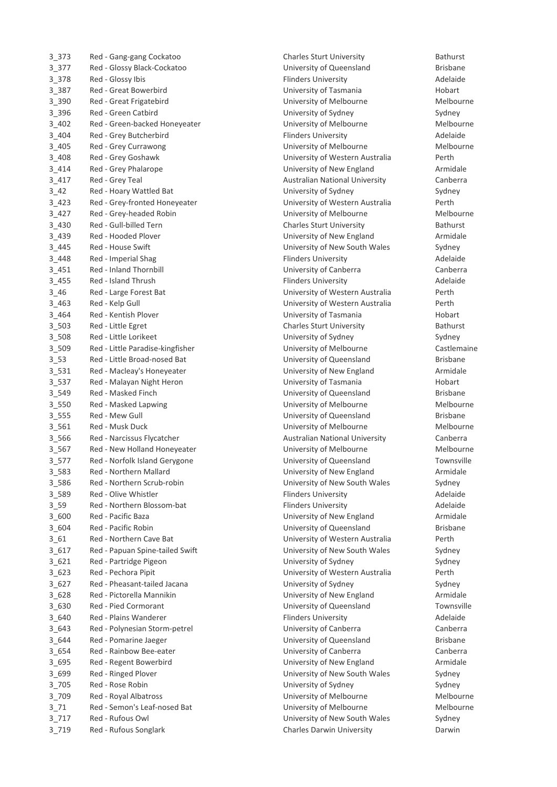| 3 373     | Red - Gang-gang Cockatoo         |
|-----------|----------------------------------|
| 3_377     | Red - Glossy Black-Cockatoo      |
| 3_378     | Red - Glossy Ibis                |
| 3_387     | <b>Red - Great Bowerbird</b>     |
| 3_390     | Red - Great Frigatebird          |
| 3_396     | Red - Green Catbird              |
| $3 - 402$ | Red - Green-backed Honeyeater    |
| $3 - 404$ | Red - Grey Butcherbird           |
| $3 - 405$ | Red - Grey Currawong             |
| $3 - 408$ | Red - Grey Goshawk               |
| $3 - 414$ | Red - Grey Phalarope             |
| $3 - 417$ | Red - Grey Teal                  |
| $3 - 42$  | Red - Hoary Wattled Bat          |
| $3 - 423$ | Red - Grey-fronted Honeyeater    |
| $3 - 427$ | Red - Grey-headed Robin          |
|           | Red - Gull-billed Tern           |
| $3 - 430$ | Red - Hooded Plover              |
| 3_439     |                                  |
| $3 - 445$ | Red - House Swift                |
| $3 - 448$ | Red - Imperial Shag              |
| $3 - 451$ | <b>Red - Inland Thornbill</b>    |
| 3 4 5 5   | Red - Island Thrush              |
| $3 - 46$  | Red - Large Forest Bat           |
| $3 - 463$ | Red - Kelp Gull                  |
| $3 - 464$ | Red - Kentish Plover             |
| $3 - 503$ | Red - Little Egret               |
| 3_508     | Red - Little Lorikeet            |
| 3_509     | Red - Little Paradise-kingfisher |
| $3 - 53$  | Red - Little Broad-nosed Bat     |
| 3_531     | Red - Macleay's Honeyeater       |
| $3 - 537$ | Red - Malayan Night Heron        |
| 3_549     | Red - Masked Finch               |
| 3_550     | Red - Masked Lapwing             |
| $3 - 555$ | Red - Mew Gull                   |
| 3_561     | Red - Musk Duck                  |
| 3_566     | Red - Narcissus Flycatcher       |
| $3 - 567$ | Red - New Holland Honeyeater     |
| $3 - 577$ | Red - Norfolk Island Gerygone    |
| 3 583     | Red - Northern Mallard           |
| 3_586     | Red - Northern Scrub-robin       |
| 3_589     | Red - Olive Whistler             |
| $3 - 59$  | Red - Northern Blossom-bat       |
| 3_600     | Red - Pacific Baza               |
| 3_604     | Red - Pacific Robin              |
| $3_{-61}$ | Red - Northern Cave Bat          |
| $3$ 617   | Red - Papuan Spine-tailed Swift  |
| 3_621     | Red - Partridge Pigeon           |
| 3_623     | Red - Pechora Pipit              |
| $3_627$   | Red - Pheasant-tailed Jacana     |
| 3_628     | Red - Pictorella Mannikin        |
| 3_630     | <b>Red - Pied Cormorant</b>      |
| 3_640     | Red - Plains Wanderer            |
| 3_643     | Red - Polynesian Storm-petrel    |
| 3_644     | Red - Pomarine Jaeger            |
| 3_654     | Red - Rainbow Bee-eater          |
| 3_695     | Red - Regent Bowerbird           |
| 3_699     | Red - Ringed Plover              |
| $3$ 705   | Red - Rose Robin                 |
| 3_709     | Red - Royal Albatross            |
|           | Red - Semon's Leaf-nosed Bat     |
| $3 - 71$  |                                  |
| $3 - 717$ | Red - Rufous Owl                 |
| 3_719     | Red - Rufous Songlark            |

Charles Sturt University **Bathurst** University of Queensland Brisbane 3\_378 Red - Glossy Ibis Flinders University Adelaide University of Tasmania Hobart University of Melbourne Melbourne University of Sydney Sydney University of Melbourne Melbourne Flinders University **Adelaide** University of Melbourne Melbourne University of Western Australia Perth University of New England **Armidale** Australian National University Canberra University of Sydney Sydney University of Western Australia Perth University of Melbourne Melbourne Charles Sturt University **Bathurst** Bathurst University of New England **Armidale** University of New South Wales Sydney Flinders University **Adelaide** University of Canberra **Canberra** Canberra Flinders University **Adelaide** University of Western Australia Perth University of Western Australia Perth University of Tasmania **Hobart** 3\_503 Red - Little Egret Charles Sturt University Bathurst University of Sydney Sydney University of Melbourne **Castlemaine** University of Queensland Brisbane University of New England **Armidale** University of Tasmania **Hobart** Hobart University of Queensland Brisbane University of Melbourne Melbourne University of Queensland Brisbane University of Melbourne Melbourne Australian National University **Canberra** University of Melbourne Melbourne University of Queensland Townsville University of New England Armidale University of New South Wales Sydney Flinders University **Adelaide** Flinders University **Adelaide** University of New England **Armidale** University of Queensland Brisbane University of Western Australia Perth University of New South Wales Sydney University of Sydney Sydney University of Western Australia Perth University of Sydney **Sydney Sydney** Sydney University of New England **Armidale** University of Queensland Townsville Flinders University **Adelaide** University of Canberra **Canberra** Canberra University of Queensland Brisbane University of Canberra **Canberra** Canberra University of New England **Armidale** University of New South Wales Sydney University of Sydney **Sydney** Sydney University of Melbourne Melbourne University of Melbourne Melbourne University of New South Wales Sydney Charles Darwin University **Charles Darwin**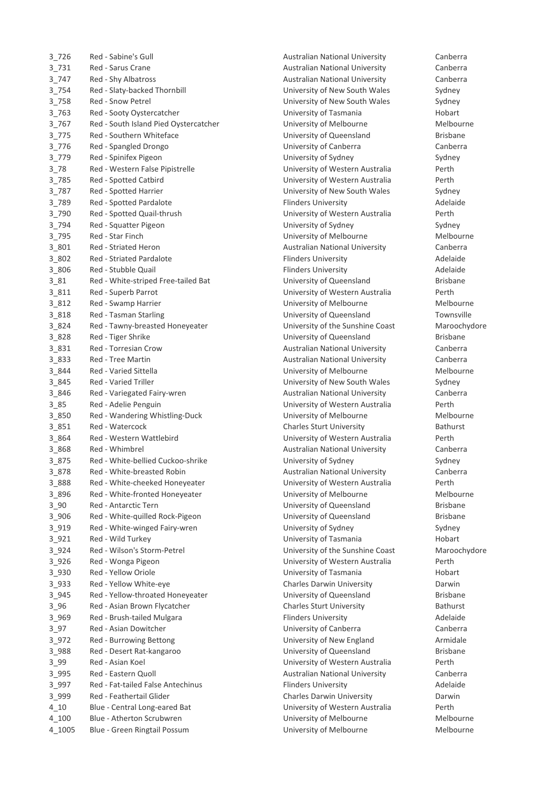| 3726           | Red - Sabine's Gull                                           |
|----------------|---------------------------------------------------------------|
| 3_731          | Red - Sarus Crane                                             |
| 3_747          | Red - Shy Albatross                                           |
| 3_754          | Red - Slaty-backed Thornbill                                  |
| 3 758          | <b>Red - Snow Petrel</b>                                      |
| $3 - 763$      | Red - Sooty Oystercatcher                                     |
| $3 - 767$      | Red - South Island Pied Oystercatcher                         |
| 3_775          | Red - Southern Whiteface                                      |
| 3_776          | Red - Spangled Drongo                                         |
| 3_779          | Red - Spinifex Pigeon                                         |
| $3 - 78$       | Red - Western False Pipistrelle                               |
| 3_785          | Red - Spotted Catbird                                         |
| 3_787          | Red - Spotted Harrier                                         |
| 3_789          | Red - Spotted Pardalote                                       |
| 3_790          | Red - Spotted Quail-thrush                                    |
| 3_794          | Red - Squatter Pigeon                                         |
| 3_795          | <b>Red - Star Finch</b>                                       |
| 3_801          | <b>Red - Striated Heron</b>                                   |
| 3_802          | <b>Red - Striated Pardalote</b>                               |
| 3_806          | Red - Stubble Quail                                           |
| $3_81$         | Red - White-striped Free-tailed Bat                           |
| 3_811          | Red - Superb Parrot                                           |
| 3_812          | Red - Swamp Harrier                                           |
| 3_818          | Red - Tasman Starling                                         |
| 3_824          | Red - Tawny-breasted Honeyeater                               |
| 3_828          | Red - Tiger Shrike                                            |
| 3_831          | Red - Torresian Crow                                          |
| 3_833          | <b>Red - Tree Martin</b>                                      |
| 3 844          | <b>Red - Varied Sittella</b>                                  |
| 3 845          | <b>Red - Varied Triller</b>                                   |
| 3 846          | Red - Variegated Fairy-wren                                   |
| $3 - 85$       | Red - Adelie Penguin                                          |
| 3 850          | Red - Wandering Whistling-Duck                                |
| 3_851          | Red - Watercock                                               |
| 3_864          | Red - Western Wattlebird                                      |
| 3_868          | Red - Whimbrel                                                |
| 3 875          | Red - White-bellied Cuckoo-shrike                             |
| 3878           | Red - White-breasted Robin                                    |
| 3 888          | Red - White-cheeked Honeyeater                                |
| 3 896          | Red - White-fronted Honeyeater<br><b>Red - Antarctic Tern</b> |
| $3 - 90$       | Red - White-quilled Rock-Pigeon                               |
| 3_906<br>3_919 |                                                               |
| $3_{921}$      | Red - White-winged Fairy-wren<br>Red - Wild Turkey            |
| 3_924          | Red - Wilson's Storm-Petrel                                   |
| $3_{926}$      | Red - Wonga Pigeon                                            |
| 3 9 3 0        | Red - Yellow Oriole                                           |
| 3 9 3 3        | Red - Yellow White-eye                                        |
| 3_945          | Red - Yellow-throated Honeyeater                              |
| $3 - 96$       | Red - Asian Brown Flycatcher                                  |
| 3_969          | Red - Brush-tailed Mulgara                                    |
| $3 - 97$       | Red - Asian Dowitcher                                         |
| $3_{972}$      | Red - Burrowing Bettong                                       |
| 3_988          | Red - Desert Rat-kangaroo                                     |
| $3 - 99$       | Red - Asian Koel                                              |
| 3_995          | Red - Eastern Quoll                                           |
| 3_997          | Red - Fat-tailed False Antechinus                             |
| 3_999          | Red - Feathertail Glider                                      |
| $4 - 10$       | Blue - Central Long-eared Bat                                 |
| $4 - 100$      | <b>Blue - Atherton Scrubwren</b>                              |
| 4 1005         | <b>Blue - Green Ringtail Possum</b>                           |

Australian National University Canberra Australian National University Canberra 3\_747 Red - Shy Albatross Australian National University Canberra University of New South Wales Sydney University of New South Wales Sydney University of Tasmania Hobart University of Melbourne Melbourne University of Queensland Brisbane University of Canberra **Canberra** Canberra University of Sydney Sydney University of Western Australia Perth University of Western Australia Perth University of New South Wales Sydney 3\_789 Red - Spotted Pardalote Flinders University Adelaide University of Western Australia Perth University of Sydney Sydney University of Melbourne Melbourne Australian National University Canberra Flinders University **Adelaide** Flinders University **Adelaide** University of Queensland Brisbane University of Western Australia Perth University of Melbourne Melbourne University of Queensland Townsville University of the Sunshine Coast Maroochydore University of Queensland Brisbane Australian National University Canberra Australian National University Canberra University of Melbourne Melbourne University of New South Wales Sydney Australian National University **Canberra** University of Western Australia Perth University of Melbourne Melbourne Charles Sturt University **Bathurst** Bathurst University of Western Australia Perth Australian National University Canberra University of Sydney **Sydney Sydney** Sydney Australian National University Canberra University of Western Australia Perth University of Melbourne Melbourne University of Queensland Brisbane University of Queensland Brisbane University of Sydney Sydney University of Tasmania Hobart University of the Sunshine Coast Maroochydore University of Western Australia Perth University of Tasmania Hobart Charles Darwin University **Darwin** Darwin University of Queensland Brisbane Charles Sturt University **Bathurst** Flinders University **Adelaide** University of Canberra **Canberra** Canberra University of New England **Armidale** University of Queensland Brisbane University of Western Australia Perth Australian National University Canberra 3\_997 Red - Fat-tailed False Antechinus Flinders University Adelaide Charles Darwin University **Charles Darwin** University of Western Australia Perth University of Melbourne Melbourne University of Melbourne **Melbourne** Melbourne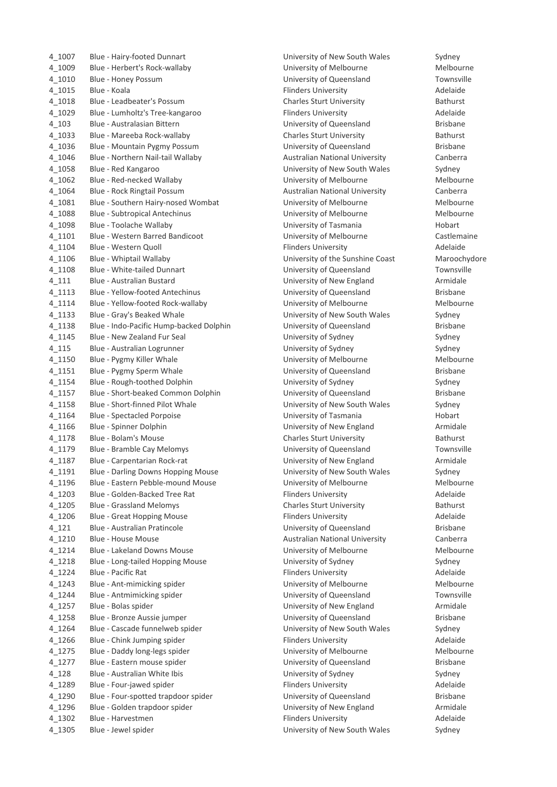| 4_1007    | Blue - Hairy-footed Dunnart             |
|-----------|-----------------------------------------|
| 4_1009    | Blue - Herbert's Rock-wallaby           |
| 4_1010    | Blue - Honey Possum                     |
| 4_1015    | Blue - Koala                            |
| 4_1018    | Blue - Leadbeater's Possum              |
| 4_1029    | Blue - Lumholtz's Tree-kangaroo         |
| $4_{103}$ | Blue - Australasian Bittern             |
| 4_1033    | Blue - Mareeba Rock-wallaby             |
| 4_1036    | Blue - Mountain Pygmy Possum            |
| 4_1046    | Blue - Northern Nail-tail Wallaby       |
| 4_1058    | Blue - Red Kangaroo                     |
| 4_1062    | Blue - Red-necked Wallaby               |
| 4_1064    | Blue - Rock Ringtail Possum             |
| 4_1081    | Blue - Southern Hairy-nosed Wombat      |
| 4_1088    | <b>Blue - Subtropical Antechinus</b>    |
| 4_1098    | Blue - Toolache Wallaby                 |
| 4_1101    | <b>Blue - Western Barred Bandicoot</b>  |
| 4_1104    | Blue - Western Quoll                    |
| 4_1106    | Blue - Whiptail Wallaby                 |
| 4_1108    | <b>Blue - White-tailed Dunnart</b>      |
| $4_{111}$ | Blue - Australian Bustard               |
| 4 1113    | Blue - Yellow-footed Antechinus         |
| 4_1114    | Blue - Yellow-footed Rock-wallaby       |
| 4_1133    | Blue - Gray's Beaked Whale              |
| 4_1138    | Blue - Indo-Pacific Hump-backed Dolphin |
| 4_1145    | Blue - New Zealand Fur Seal             |
| $4 - 115$ | Blue - Australian Logrunner             |
| 4_1150    | Blue - Pygmy Killer Whale               |
| 4_1151    | Blue - Pygmy Sperm Whale                |
| 4_1154    | Blue - Rough-toothed Dolphin            |
| 4_1157    | Blue - Short-beaked Common Dolphin      |
| 4_1158    | Blue - Short-finned Pilot Whale         |
| 4_1164    | <b>Blue - Spectacled Porpoise</b>       |
| 4_1166    | Blue - Spinner Dolphin                  |
| 4_1178    | Blue - Bolam's Mouse                    |
| 4_1179    | Blue - Bramble Cay Melomys              |
| 4_1187    | Blue - Carpentarian Rock-rat            |
| 4_1191    | Blue - Darling Downs Hopping Mouse      |
| 4 1196    | Blue - Eastern Pebble-mound Mouse       |
| 4_1203    | Blue - Golden-Backed Tree Rat           |
| 4_1205    | <b>Blue - Grassland Melomys</b>         |
| 4_1206    | <b>Blue - Great Hopping Mouse</b>       |
| $4_121$   | Blue - Australian Pratincole            |
| 4_1210    | Blue - House Mouse                      |
| 4_1214    | <b>Blue - Lakeland Downs Mouse</b>      |
| 4_1218    | Blue - Long-tailed Hopping Mouse        |
| 4_1224    | Blue - Pacific Rat                      |
| 4_1243    | Blue - Ant-mimicking spider             |
| 4_1244    | Blue - Antmimicking spider              |
| 4_1257    | Blue - Bolas spider                     |
| 4_1258    | Blue - Bronze Aussie jumper             |
| 4_1264    | Blue - Cascade funnelweb spider         |
| 4_1266    | Blue - Chink Jumping spider             |
| 4_1275    | Blue - Daddy long-legs spider           |
| 4_1277    | Blue - Eastern mouse spider             |
| $4 - 128$ | Blue - Australian White Ibis            |
| 4_1289    | Blue - Four-jawed spider                |
| 4_1290    | Blue - Four-spotted trapdoor spider     |
| 4_1296    | Blue - Golden trapdoor spider           |
| 4_1302    | Blue - Harvestmen                       |
| 4_1305    | Blue - Jewel spider                     |
|           |                                         |

University of New South Wales Sydney University of Melbourne Melbourne University of Queensland Townsville Flinders University **Adelaide** Charles Sturt University **Bathurst** Bathurst Flinders University **Adelaide** University of Queensland Brisbane Charles Sturt University **Bathurst** University of Queensland Brisbane Australian National University **Canberra** University of New South Wales Sydney University of Melbourne Melbourne Australian National University **Canberra** University of Melbourne Melbourne University of Melbourne Melbourne University of Tasmania Hobart University of Melbourne **Castlemaine** Flinders University **Adelaide** University of the Sunshine Coast Maroochydore University of Queensland Townsville University of New England **Australian Bustard Armidale** University of Queensland Brisbane University of Melbourne Melbourne University of New South Wales Sydney University of Queensland Brisbane University of Sydney **Alteration** Sydney University of Sydney **Australian Loginner Sydney** Sydney University of Melbourne Melbourne University of Queensland Brisbane University of Sydney **Blue Collection** Bydney University of Queensland Brisbane University of New South Wales Sydney University of Tasmania **Blue 2016** Blue Hobart University of New England Armidale Charles Sturt University **Bathurst** University of Queensland Townsville University of New England Armidale University of New South Wales Sydney University of Melbourne Melbourne Flinders University **Adelaide** Charles Sturt University **Bathurst** Flinders University **Adelaide** University of Queensland Brisbane Australian National University **Canberra** University of Melbourne Melbourne University of Sydney Mouse Choice Sydney Sydney Flinders University **Adelaide** University of Melbourne Melbourne University of Queensland Townsville University of New England Armidale University of Queensland Brisbane University of New South Wales Sydney Flinders University **Adelaide** University of Melbourne Melbourne University of Queensland Brisbane University of Sydney **Australian White Sydney Sydney** Flinders University **Adelaide** University of Queensland **Brisbane** University of New England **Armidale** Flinders University **Adelaide** University of New South Wales Sydney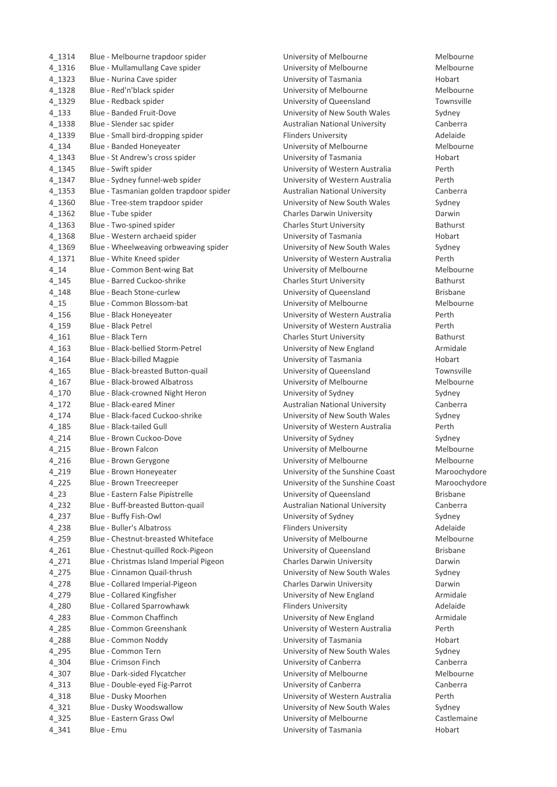| Blue - Mullamullang Cave spider         |
|-----------------------------------------|
| Blue - Nurina Cave spider               |
| Blue - Red'n'black spider               |
| Blue - Redback spider                   |
| <b>Blue - Banded Fruit-Dove</b>         |
| Blue - Slender sac spider               |
| Blue - Small bird-dropping spider       |
| Blue - Banded Honeyeater                |
| Blue - St Andrew's cross spider         |
| Blue - Swift spider                     |
| Blue - Sydney funnel-web spider         |
| Blue - Tasmanian golden trapdoor spider |
| Blue - Tree-stem trapdoor spider        |
| Blue - Tube spider                      |
| Blue - Two-spined spider                |
| Blue - Western archaeid spider          |
| Blue - Wheelweaving orbweaving spider   |
| Blue - White Kneed spider               |
| Blue - Common Bent-wing Bat             |
| Blue - Barred Cuckoo-shrike             |
| Blue - Beach Stone-curlew               |
| Blue - Common Blossom-bat               |
|                                         |
| Blue - Black Honeyeater                 |
| <b>Blue - Black Petrel</b>              |
| Blue - Black Tern                       |
| Blue - Black-bellied Storm-Petrel       |
| Blue - Black-billed Magpie              |
| Blue - Black-breasted Button-quail      |
| <b>Blue - Black-browed Albatross</b>    |
| Blue - Black-crowned Night Heron        |
| Blue - Black-eared Miner                |
| Blue - Black-faced Cuckoo-shrike        |
| Blue - Black-tailed Gull                |
| Blue - Brown Cuckoo-Dove                |
| <b>Blue - Brown Falcon</b>              |
| Blue - Brown Gerygone                   |
| Blue - Brown Honeyeater                 |
| Blue - Brown Treecreeper                |
| Blue - Eastern False Pipistrelle        |
| Blue - Buff-breasted Button-quail       |
| Blue - Buffy Fish-Owl                   |
|                                         |
| <b>Blue - Buller's Albatross</b>        |
| Blue - Chestnut-breasted Whiteface      |
| Blue - Chestnut-quilled Rock-Pigeon     |
| Blue - Christmas Island Imperial Pigeon |
| Blue - Cinnamon Quail-thrush            |
| Blue - Collared Imperial-Pigeon         |
| Blue - Collared Kingfisher              |
| <b>Blue - Collared Sparrowhawk</b>      |
| Blue - Common Chaffinch                 |
| <b>Blue - Common Greenshank</b>         |
| Blue - Common Noddy                     |
| Blue - Common Tern                      |
| Blue - Crimson Finch                    |
| Blue - Dark-sided Flycatcher            |
| Blue - Double-eyed Fig-Parrot           |
| Blue - Dusky Moorhen                    |
| Blue - Dusky Woodswallow                |
| Blue - Eastern Grass Owl                |
|                                         |

University of Melbourne The Melbourne University of Melbourne Melbourne University of Tasmania **Blue State Show Box Hobart** University of Melbourne Melbourne University of Queensland Townsville University of New South Wales Sydney Australian National University **Canberra** Flinders University **Adelaide** University of Melbourne Melbourne University of Tasmania **Blue Constructs St Andrew Hobart** University of Western Australia Perth University of Western Australia Perth Australian National University **Canberra** University of New South Wales Sydney Charles Darwin University **Darwin** Darwin Charles Sturt University **Bathurst** Bathurst University of Tasmania **Blue State Spider Shows** Hobart University of New South Wales Sydney University of Western Australia Perth University of Melbourne Melbourne Charles Sturt University **Bathurst** University of Queensland Brisbane University of Melbourne Melbourne University of Western Australia Perth University of Western Australia Perth Charles Sturt University **Bathurst** University of New England Armidale University of Tasmania Hobart University of Queensland Townsville University of Melbourne Melbourne University of Sydney **All Allen Sydney Sydney** Australian National University Canberra University of New South Wales Sydney University of Western Australia Perth University of Sydney **All and Sydney Sydney** Sydney University of Melbourne Melbourne University of Melbourne Melbourne University of the Sunshine Coast Maroochydore University of the Sunshine Coast Maroochydore University of Queensland Brisbane Australian National University **Canberra** University of Sydney **All Accord Sydney Sydney** Flinders University **Adelaide** University of Melbourne Melbourne University of Queensland Brisbane Charles Darwin University **Charles Darwin** University of New South Wales Sydney Charles Darwin University **Darwin** Darwin University of New England **Armidale** Flinders University **Adelaide** University of New England Armidale University of Western Australia Perth University of Tasmania **Hobart** University of New South Wales Sydney University of Canberra **Canberra** Canberra University of Melbourne Melbourne University of Canberra **East Execute Canberra** Canberra University of Western Australia Perth University of New South Wales Sydney University of Melbourne Castlemaine University of Tasmania **Hobart**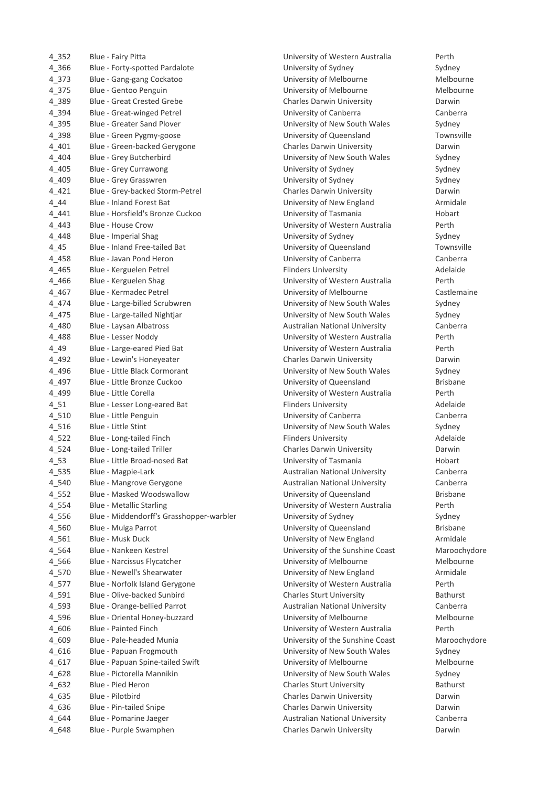| 4_352                  | Blue - Fairy Pitta                                                       |
|------------------------|--------------------------------------------------------------------------|
| 4_366                  | Blue - Forty-spotted Pardalote                                           |
| $4 - 373$              | Blue - Gang-gang Cockatoo                                                |
| $4 - 375$              | Blue - Gentoo Penguin                                                    |
| 4_389                  | <b>Blue - Great Crested Grebe</b>                                        |
| 4_394                  | Blue - Great-winged Petrel                                               |
| 4_395                  | <b>Blue - Greater Sand Plover</b>                                        |
| 4_398                  | Blue - Green Pygmy-goose                                                 |
| $4_{.401}$             | Blue - Green-backed Gerygone                                             |
| $4 - 404$              | Blue - Grey Butcherbird                                                  |
| 4_405                  | <b>Blue - Grey Currawong</b>                                             |
| 4 4 0 9                | Blue - Grey Grasswren                                                    |
| 4 4 2 1                | Blue - Grey-backed Storm-Petrel                                          |
| 4 4 4                  | <b>Blue - Inland Forest Bat</b>                                          |
| 4 4 4 1                | Blue - Horsfield's Bronze Cuckoo                                         |
| 4 4 4 3                | Blue - House Crow                                                        |
| 4 4 4 8                | Blue - Imperial Shag                                                     |
| 4 4 5                  | <b>Blue - Inland Free-tailed Bat</b>                                     |
| $4 - 458$              | Blue - Javan Pond Heron                                                  |
| 4 4 6 5                | Blue - Kerguelen Petrel                                                  |
| 4 4 6 6                | Blue - Kerguelen Shag                                                    |
| 4 4 6 7                | Blue - Kermadec Petrel                                                   |
| 4 4 7 4                | Blue - Large-billed Scrubwren                                            |
| 4_475                  | Blue - Large-tailed Nightjar                                             |
| 4 4 8 0                | Blue - Laysan Albatross                                                  |
| 4 4 8 8                | Blue - Lesser Noddy                                                      |
| 4 4 9                  | Blue - Large-eared Pied Bat                                              |
| 4 4 9 2                | Blue - Lewin's Honeyeater                                                |
| 4_496                  | Blue - Little Black Cormorant                                            |
| 4_497                  | Blue - Little Bronze Cuckoo                                              |
| 4 4 9 9                | Blue - Little Corella                                                    |
| $4_{51}$               | Blue - Lesser Long-eared Bat                                             |
| $4 - 510$              | Blue - Little Penguin                                                    |
| $4_{1516}$             | Blue - Little Stint                                                      |
| $4_{-}522$             | Blue - Long-tailed Finch                                                 |
| $4 - 524$              | Blue - Long-tailed Triller                                               |
| $4_{53}$               | Blue - Little Broad-nosed Bat                                            |
| 4_535                  | Blue - Magpie-Lark                                                       |
| $4 - 540$<br>$4 - 552$ | Blue - Mangrove Gerygone                                                 |
| $4 - 554$              | Blue - Masked Woodswallow                                                |
| 4_556                  | <b>Blue - Metallic Starling</b><br>Blue - Middendorff's Grasshopper-warb |
| $4 - 560$              |                                                                          |
| $4 - 561$              | Blue - Mulga Parrot<br><b>Blue - Musk Duck</b>                           |
| $4 - 564$              | <b>Blue - Nankeen Kestrel</b>                                            |
| 4_566                  | Blue - Narcissus Flycatcher                                              |
| $4 - 570$              | Blue - Newell's Shearwater                                               |
| $4 - 577$              | Blue - Norfolk Island Gerygone                                           |
| 4_591                  | Blue - Olive-backed Sunbird                                              |
| 4_593                  | Blue - Orange-bellied Parrot                                             |
| 4_596                  | Blue - Oriental Honey-buzzard                                            |
| 4 606                  | <b>Blue - Painted Finch</b>                                              |
| 4_609                  | Blue - Pale-headed Munia                                                 |
| $4 - 616$              | Blue - Papuan Frogmouth                                                  |
| $4 - 617$              | Blue - Papuan Spine-tailed Swift                                         |
| 4_628                  | Blue - Pictorella Mannikin                                               |
| 4 632                  | Blue - Pied Heron                                                        |
| 4 635                  | Blue - Pilotbird                                                         |
| 4 636                  | Blue - Pin-tailed Snipe                                                  |
| 4 644                  | Blue - Pomarine Jaeger                                                   |
| 4 648                  | Blue - Purple Swamphen                                                   |

University of Western Australia Perth University of Sydney **Abuse 2016** Sydney University of Melbourne Melbourne University of Melbourne Melbourne Charles Darwin University **Charles Darwin** University of Canberra **Canberra** Canberra University of New South Wales Sydney University of Queensland Townsville Charles Darwin University **Charles Darwin** University of New South Wales Sydney University of Sydney **Sydney** Sydney University of Sydney **Blue Core Sydney** Sydney Charles Darwin University **Charles Darwin** University of New England Forest Bat University of New England University of Tasmania **Hobart** University of Western Australia Perth University of Sydney **Example 2018** Sydney University of Queensland Townsville University of Canberra **Canberra** Canberra Flinders University **Adelaide** University of Western Australia Perth University of Melbourne **Castlemaine** University of New South Wales Sydney University of New South Wales Sydney Australian National University **Canberra** University of Western Australia Perth University of Western Australia Perth Charles Darwin University **Darwin** University of New South Wales Sydney University of Queensland Brisbane University of Western Australia Perth Flinders University **Adelaide** University of Canberra **Canberra** Canberra University of New South Wales Sydney Flinders University **Adelaide** Charles Darwin University **Charles Darwin** University of Tasmania Hobart Broad-nosed Bat University of Tasmania Hobart Australian National University Canberra Australian National University **Canberra** University of Queensland Brisbane University of Western Australia Perth 14.556 Blue - Middendorff's University of Sydney Sydney Sydney Sydney University of Queensland Brisbane University of New England Armidale University of the Sunshine Coast Maroochydore University of Melbourne Melbourne University of New England **Armidale** University of Western Australia Perth Charles Sturt University **Bathurst** Australian National University **Canberra** University of Melbourne Melbourne University of Western Australia Perth University of the Sunshine Coast Maroochydore University of New South Wales Sydney University of Melbourne Melbourne University of New South Wales Sydney Charles Sturt University **Bathurst** Charles Darwin University **Example 20 Blue Darwin** Darwin Charles Darwin University **Darwin** Australian National University Canberra Charles Darwin University **Darwin** Darwin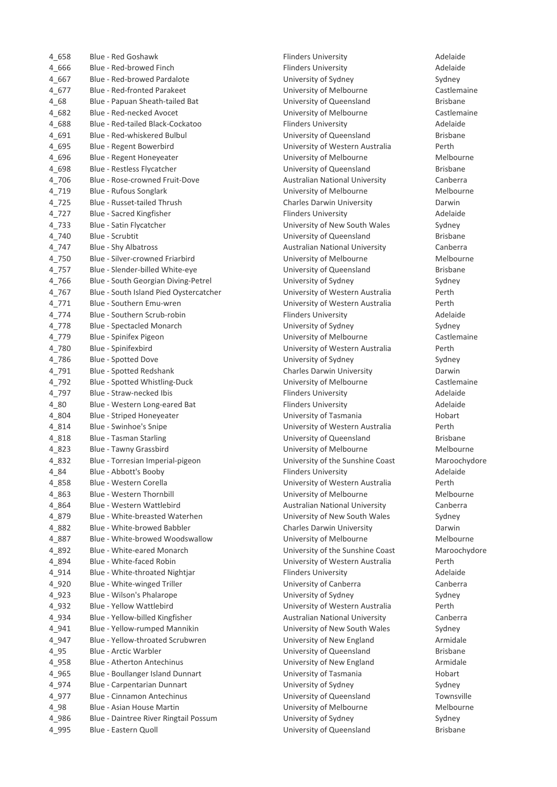| 4 658     | Blue - Red Goshawk                     |
|-----------|----------------------------------------|
| 4_666     | Blue - Red-browed Finch                |
| 4 667     | Blue - Red-browed Pardalote            |
| 4 677     | <b>Blue - Red-fronted Parakeet</b>     |
| 4 68      | Blue - Papuan Sheath-tailed Bat        |
| 4 682     | Blue - Red-necked Avocet               |
| 4 688     | Blue - Red-tailed Black-Cockatoo       |
| 4 691     | Blue - Red-whiskered Bulbul            |
| 4 695     | Blue - Regent Bowerbird                |
| 4 696     | Blue - Regent Honeyeater               |
| 4 698     | Blue - Restless Flycatcher             |
| 4 706     | Blue - Rose-crowned Fruit-Dove         |
| 4 719     | Blue - Rufous Songlark                 |
| 4 725     | Blue - Russet-tailed Thrush            |
| 4 727     | Blue - Sacred Kingfisher               |
| 4 733     | Blue - Satin Flycatcher                |
| 4 740     | <b>Blue - Scrubtit</b>                 |
| 4 747     | <b>Blue - Shy Albatross</b>            |
| 4_750     | <b>Blue - Silver-crowned Friarbird</b> |
| 4 757     | Blue - Slender-billed White-eye        |
| 4 766     | Blue - South Georgian Diving-Petrel    |
| 4 767     | Blue - South Island Pied Oystercatcher |
| 4 771     | Blue - Southern Emu-wren               |
| 4 774     | Blue - Southern Scrub-robin            |
| $4_{778}$ | <b>Blue - Spectacled Monarch</b>       |
| 4 779     | Blue - Spinifex Pigeon                 |
| 4 780     | Blue - Spinifexbird                    |
| 4 786     | Blue - Spotted Dove                    |
| 4 791     | <b>Blue - Spotted Redshank</b>         |
| 4_792     | Blue - Spotted Whistling-Duck          |
| 4_797     | Blue - Straw-necked Ibis               |
| $4_{80}$  | Blue - Western Long-eared Bat          |
| 4 804     | <b>Blue - Striped Honeyeater</b>       |
| 4 8 1 4   | Blue - Swinhoe's Snipe                 |
| 4 8 1 8   | <b>Blue - Tasman Starling</b>          |
| 4 8 2 3   | Blue - Tawny Grassbird                 |
| 4_832     | Blue - Torresian Imperial-pigeon       |
| $4 - 84$  | Blue - Abbott's Booby                  |
| 4 858     | Blue - Western Corella                 |
| 4_863     | Blue - Western Thornbill               |
| 4_864     | <b>Blue - Western Wattlebird</b>       |
| 4_879     | Blue - White-breasted Waterhen         |
| 4_882     | Blue - White-browed Babbler            |
| 4_887     | Blue - White-browed Woodswallow        |
| 4_892     | Blue - White-eared Monarch             |
| 4_894     | Blue - White-faced Robin               |
| 4 9 1 4   | Blue - White-throated Nightjar         |
| 4_920     | Blue - White-winged Triller            |
| 4 923     | Blue - Wilson's Phalarope              |
| 4_932     | <b>Blue - Yellow Wattlebird</b>        |
| 4_934     | Blue - Yellow-billed Kingfisher        |
| 4_941     | Blue - Yellow-rumped Mannikin          |
| 4_947     | Blue - Yellow-throated Scrubwren       |
| $4 - 95$  | <b>Blue - Arctic Warbler</b>           |
| 4_958     | <b>Blue - Atherton Antechinus</b>      |
| 4_965     | Blue - Boullanger Island Dunnart       |
| 4_974     | Blue - Carpentarian Dunnart            |
| 4_977     | <b>Blue - Cinnamon Antechinus</b>      |
| $4 - 98$  | <b>Blue - Asian House Martin</b>       |
| 4_986     | Blue - Daintree River Ringtail Possum  |
|           |                                        |

Flinders University **Adelaide** Flinders University **Adelaide** University of Sydney **Blue Access** Sydney University of Melbourne **Castlemaine** University of Queensland Brisbane University of Melbourne **Castlemaine** Flinders University **Adelaide** University of Queensland Brisbane University of Western Australia Perth University of Melbourne Melbourne University of Queensland Brisbane Australian National University **Canberra** University of Melbourne Melbourne Charles Darwin University **Charles Darwin** Flinders University **Adelaide** University of New South Wales Sydney University of Queensland Brisbane Australian National University **Canberra** University of Melbourne Melbourne University of Queensland Brisbane University of Sydney **Alternative Contract Contract Sydney** Sydney University of Western Australia Perth University of Western Australia Perth Flinders University **Adelaide** University of Sydney **Apple 3** Sydney University of Melbourne **Castlemaine** University of Western Australia Perth University of Sydney **Example 20 Blue Sydney** Sydney Charles Darwin University **Darwin** Darwin University of Melbourne **Castlemaine** Flinders University **Adelaide** Flinders University **Adelaide** University of Tasmania Hobart University of Western Australia Perth University of Queensland Brisbane University of Melbourne Melbourne University of the Sunshine Coast Maroochydore Flinders University **Adelaide** University of Western Australia Perth University of Melbourne Melbourne Australian National University Canberra University of New South Wales Sydney Charles Darwin University **Example 20 Base** University of Melbourne Melbourne University of the Sunshine Coast Maroochydore University of Western Australia Perth Flinders University **Adelaide** University of Canberra **Canberra** Canberra University of Sydney **Algebra 2023** Sydney University of Western Australia Perth Australian National University **Canberra** University of New South Wales Sydney University of New England **Armidale** University of Queensland Brisbane University of New England Armidale University of Tasmania **Boullanger Island Dunnart Contract** Hobart University of Sydney **Blue Carpentarian Dunnart Control** Sydney University of Queensland Townsville University of Melbourne Melbourne University of Sydney **Algebra 2018** Sydney University of Queensland Brisbane